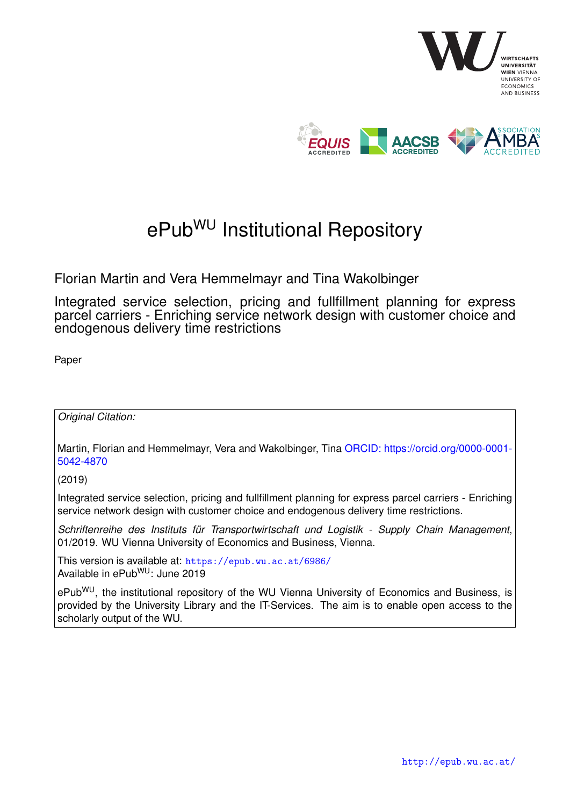

## ePub<sup>WU</sup> Institutional Repository

Florian Martin and Vera Hemmelmayr and Tina Wakolbinger

Integrated service selection, pricing and fullfillment planning for express parcel carriers - Enriching service network design with customer choice and endogenous delivery time restrictions

Paper

*Original Citation:*

Martin, Florian and Hemmelmayr, Vera and Wakolbinger, Tina [ORCID: https://orcid.org/0000-0001-](https://orcid.org/0000-0001-5042-4870) [5042-4870](https://orcid.org/0000-0001-5042-4870)

(2019)

Integrated service selection, pricing and fullfillment planning for express parcel carriers - Enriching service network design with customer choice and endogenous delivery time restrictions.

*Schriftenreihe des Instituts für Transportwirtschaft und Logistik - Supply Chain Management*, 01/2019. WU Vienna University of Economics and Business, Vienna.

This version is available at: <https://epub.wu.ac.at/6986/> Available in ePubWU: June 2019

ePub<sup>WU</sup>, the institutional repository of the WU Vienna University of Economics and Business, is provided by the University Library and the IT-Services. The aim is to enable open access to the scholarly output of the WU.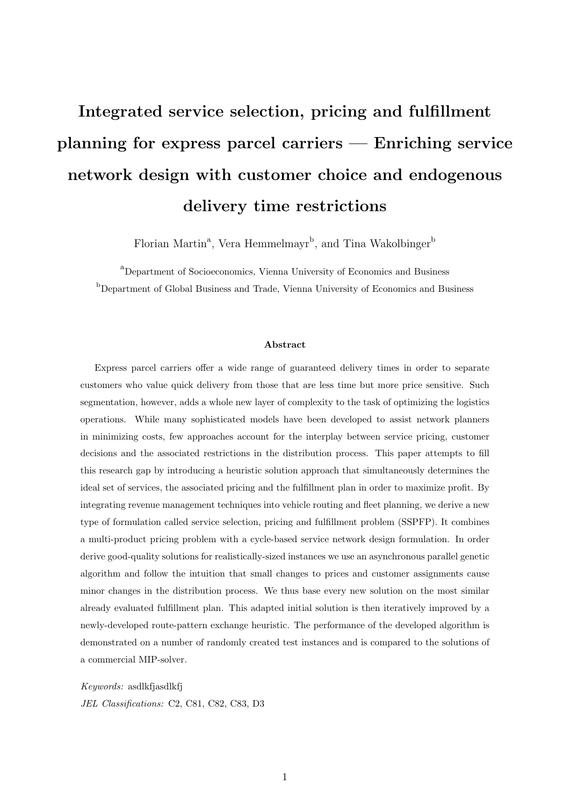# Integrated service selection, pricing and fulfillment planning for express parcel carriers — Enriching service network design with customer choice and endogenous delivery time restrictions

Florian Martin<sup>a</sup>, Vera Hemmelmayr<sup>b</sup>, and Tina Wakolbinger<sup>b</sup>

 $a<sup>a</sup>$ Department of Socioeconomics, Vienna University of Economics and Business <sup>b</sup>Department of Global Business and Trade, Vienna University of Economics and Business

#### Abstract

Express parcel carriers offer a wide range of guaranteed delivery times in order to separate customers who value quick delivery from those that are less time but more price sensitive. Such segmentation, however, adds a whole new layer of complexity to the task of optimizing the logistics operations. While many sophisticated models have been developed to assist network planners in minimizing costs, few approaches account for the interplay between service pricing, customer decisions and the associated restrictions in the distribution process. This paper attempts to fill this research gap by introducing a heuristic solution approach that simultaneously determines the ideal set of services, the associated pricing and the fulfillment plan in order to maximize profit. By integrating revenue management techniques into vehicle routing and fleet planning, we derive a new type of formulation called service selection, pricing and fulfillment problem (SSPFP). It combines a multi-product pricing problem with a cycle-based service network design formulation. In order derive good-quality solutions for realistically-sized instances we use an asynchronous parallel genetic algorithm and follow the intuition that small changes to prices and customer assignments cause minor changes in the distribution process. We thus base every new solution on the most similar already evaluated fulfillment plan. This adapted initial solution is then iteratively improved by a newly-developed route-pattern exchange heuristic. The performance of the developed algorithm is demonstrated on a number of randomly created test instances and is compared to the solutions of a commercial MIP-solver.

Keywords: asdlkfjasdlkfj JEL Classifications: C2, C81, C82, C83, D3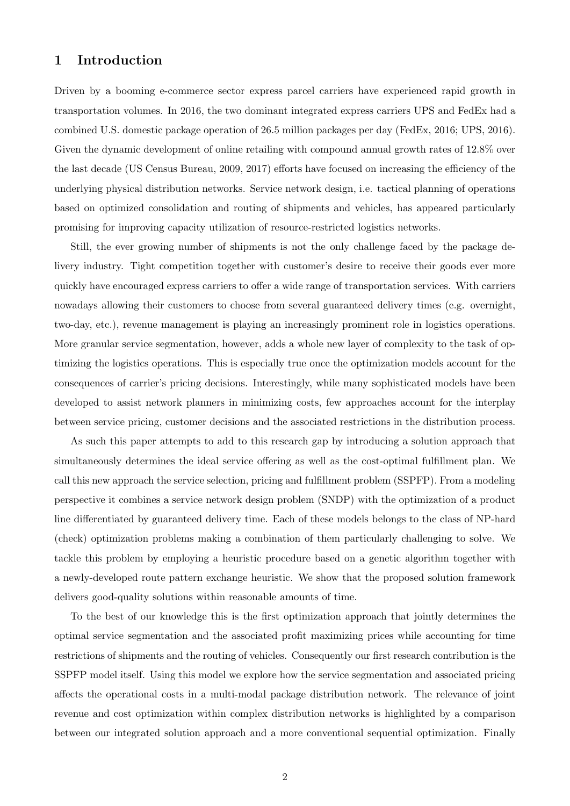## 1 Introduction

Driven by a booming e-commerce sector express parcel carriers have experienced rapid growth in transportation volumes. In 2016, the two dominant integrated express carriers UPS and FedEx had a combined U.S. domestic package operation of 26.5 million packages per day (FedEx, 2016; UPS, 2016). Given the dynamic development of online retailing with compound annual growth rates of 12.8% over the last decade (US Census Bureau, 2009, 2017) efforts have focused on increasing the efficiency of the underlying physical distribution networks. Service network design, i.e. tactical planning of operations based on optimized consolidation and routing of shipments and vehicles, has appeared particularly promising for improving capacity utilization of resource-restricted logistics networks.

Still, the ever growing number of shipments is not the only challenge faced by the package delivery industry. Tight competition together with customer's desire to receive their goods ever more quickly have encouraged express carriers to offer a wide range of transportation services. With carriers nowadays allowing their customers to choose from several guaranteed delivery times (e.g. overnight, two-day, etc.), revenue management is playing an increasingly prominent role in logistics operations. More granular service segmentation, however, adds a whole new layer of complexity to the task of optimizing the logistics operations. This is especially true once the optimization models account for the consequences of carrier's pricing decisions. Interestingly, while many sophisticated models have been developed to assist network planners in minimizing costs, few approaches account for the interplay between service pricing, customer decisions and the associated restrictions in the distribution process.

As such this paper attempts to add to this research gap by introducing a solution approach that simultaneously determines the ideal service offering as well as the cost-optimal fulfillment plan. We call this new approach the service selection, pricing and fulfillment problem (SSPFP). From a modeling perspective it combines a service network design problem (SNDP) with the optimization of a product line differentiated by guaranteed delivery time. Each of these models belongs to the class of NP-hard (check) optimization problems making a combination of them particularly challenging to solve. We tackle this problem by employing a heuristic procedure based on a genetic algorithm together with a newly-developed route pattern exchange heuristic. We show that the proposed solution framework delivers good-quality solutions within reasonable amounts of time.

To the best of our knowledge this is the first optimization approach that jointly determines the optimal service segmentation and the associated profit maximizing prices while accounting for time restrictions of shipments and the routing of vehicles. Consequently our first research contribution is the SSPFP model itself. Using this model we explore how the service segmentation and associated pricing affects the operational costs in a multi-modal package distribution network. The relevance of joint revenue and cost optimization within complex distribution networks is highlighted by a comparison between our integrated solution approach and a more conventional sequential optimization. Finally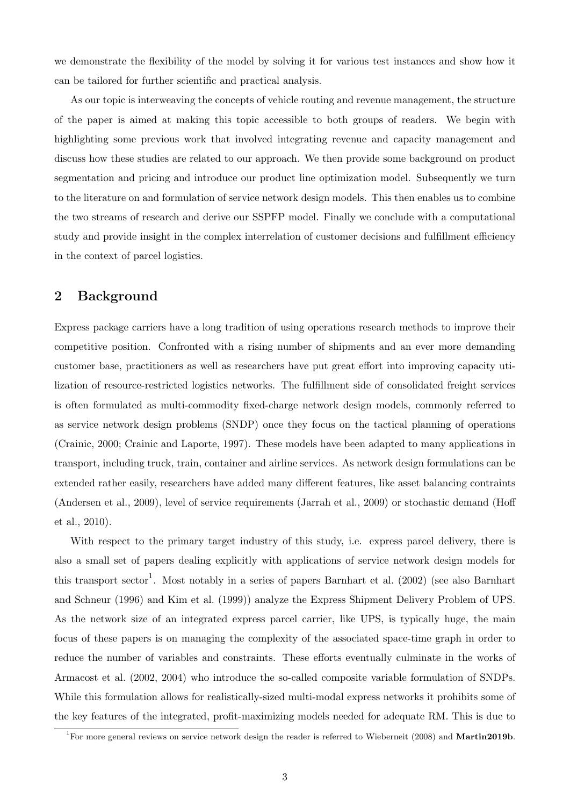we demonstrate the flexibility of the model by solving it for various test instances and show how it can be tailored for further scientific and practical analysis.

As our topic is interweaving the concepts of vehicle routing and revenue management, the structure of the paper is aimed at making this topic accessible to both groups of readers. We begin with highlighting some previous work that involved integrating revenue and capacity management and discuss how these studies are related to our approach. We then provide some background on product segmentation and pricing and introduce our product line optimization model. Subsequently we turn to the literature on and formulation of service network design models. This then enables us to combine the two streams of research and derive our SSPFP model. Finally we conclude with a computational study and provide insight in the complex interrelation of customer decisions and fulfillment efficiency in the context of parcel logistics.

## 2 Background

Express package carriers have a long tradition of using operations research methods to improve their competitive position. Confronted with a rising number of shipments and an ever more demanding customer base, practitioners as well as researchers have put great effort into improving capacity utilization of resource-restricted logistics networks. The fulfillment side of consolidated freight services is often formulated as multi-commodity fixed-charge network design models, commonly referred to as service network design problems (SNDP) once they focus on the tactical planning of operations (Crainic, 2000; Crainic and Laporte, 1997). These models have been adapted to many applications in transport, including truck, train, container and airline services. As network design formulations can be extended rather easily, researchers have added many different features, like asset balancing contraints (Andersen et al., 2009), level of service requirements (Jarrah et al., 2009) or stochastic demand (Hoff et al., 2010).

With respect to the primary target industry of this study, i.e. express parcel delivery, there is also a small set of papers dealing explicitly with applications of service network design models for this transport sector<sup>1</sup>. Most notably in a series of papers Barnhart et al. (2002) (see also Barnhart and Schneur (1996) and Kim et al. (1999)) analyze the Express Shipment Delivery Problem of UPS. As the network size of an integrated express parcel carrier, like UPS, is typically huge, the main focus of these papers is on managing the complexity of the associated space-time graph in order to reduce the number of variables and constraints. These efforts eventually culminate in the works of Armacost et al. (2002, 2004) who introduce the so-called composite variable formulation of SNDPs. While this formulation allows for realistically-sized multi-modal express networks it prohibits some of the key features of the integrated, profit-maximizing models needed for adequate RM. This is due to

<sup>&</sup>lt;sup>1</sup>For more general reviews on service network design the reader is referred to Wieberneit (2008) and Martin2019b.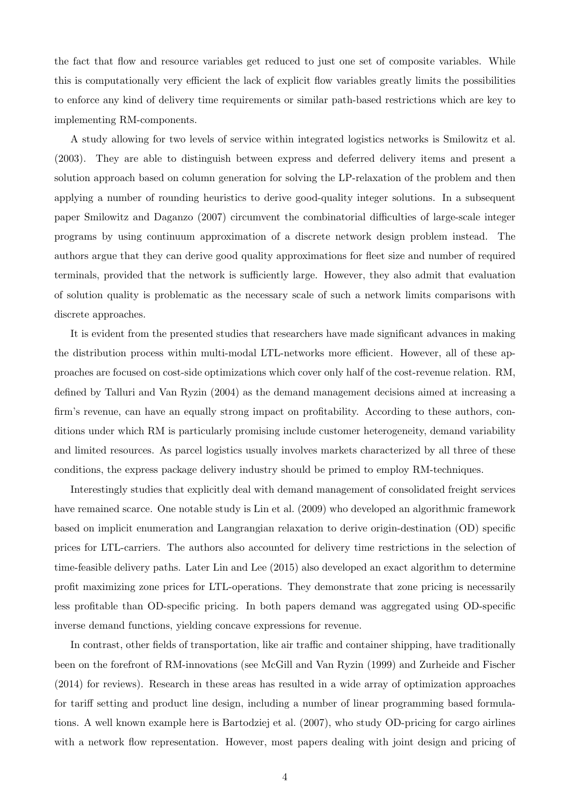the fact that flow and resource variables get reduced to just one set of composite variables. While this is computationally very efficient the lack of explicit flow variables greatly limits the possibilities to enforce any kind of delivery time requirements or similar path-based restrictions which are key to implementing RM-components.

A study allowing for two levels of service within integrated logistics networks is Smilowitz et al. (2003). They are able to distinguish between express and deferred delivery items and present a solution approach based on column generation for solving the LP-relaxation of the problem and then applying a number of rounding heuristics to derive good-quality integer solutions. In a subsequent paper Smilowitz and Daganzo (2007) circumvent the combinatorial difficulties of large-scale integer programs by using continuum approximation of a discrete network design problem instead. The authors argue that they can derive good quality approximations for fleet size and number of required terminals, provided that the network is sufficiently large. However, they also admit that evaluation of solution quality is problematic as the necessary scale of such a network limits comparisons with discrete approaches.

It is evident from the presented studies that researchers have made significant advances in making the distribution process within multi-modal LTL-networks more efficient. However, all of these approaches are focused on cost-side optimizations which cover only half of the cost-revenue relation. RM, defined by Talluri and Van Ryzin (2004) as the demand management decisions aimed at increasing a firm's revenue, can have an equally strong impact on profitability. According to these authors, conditions under which RM is particularly promising include customer heterogeneity, demand variability and limited resources. As parcel logistics usually involves markets characterized by all three of these conditions, the express package delivery industry should be primed to employ RM-techniques.

Interestingly studies that explicitly deal with demand management of consolidated freight services have remained scarce. One notable study is Lin et al. (2009) who developed an algorithmic framework based on implicit enumeration and Langrangian relaxation to derive origin-destination (OD) specific prices for LTL-carriers. The authors also accounted for delivery time restrictions in the selection of time-feasible delivery paths. Later Lin and Lee (2015) also developed an exact algorithm to determine profit maximizing zone prices for LTL-operations. They demonstrate that zone pricing is necessarily less profitable than OD-specific pricing. In both papers demand was aggregated using OD-specific inverse demand functions, yielding concave expressions for revenue.

In contrast, other fields of transportation, like air traffic and container shipping, have traditionally been on the forefront of RM-innovations (see McGill and Van Ryzin (1999) and Zurheide and Fischer (2014) for reviews). Research in these areas has resulted in a wide array of optimization approaches for tariff setting and product line design, including a number of linear programming based formulations. A well known example here is Bartodziej et al. (2007), who study OD-pricing for cargo airlines with a network flow representation. However, most papers dealing with joint design and pricing of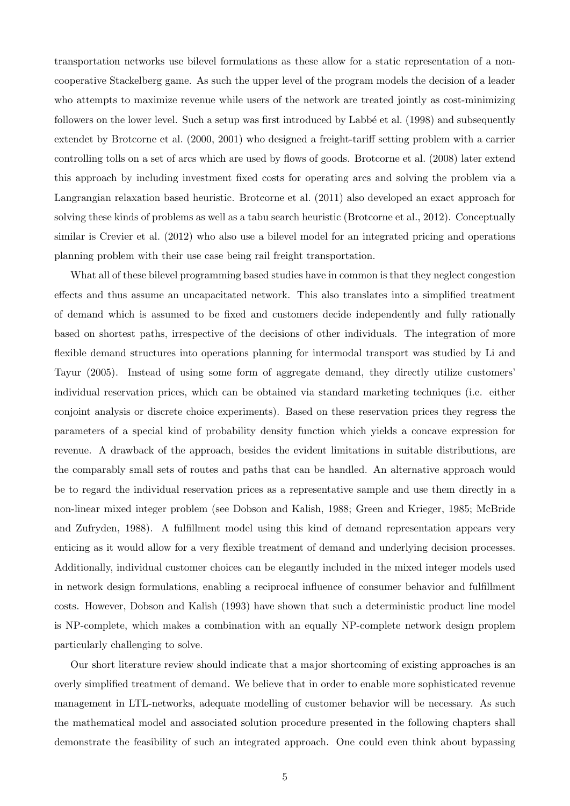transportation networks use bilevel formulations as these allow for a static representation of a noncooperative Stackelberg game. As such the upper level of the program models the decision of a leader who attempts to maximize revenue while users of the network are treated jointly as cost-minimizing followers on the lower level. Such a setup was first introduced by Labbé et al. (1998) and subsequently extendet by Brotcorne et al. (2000, 2001) who designed a freight-tariff setting problem with a carrier controlling tolls on a set of arcs which are used by flows of goods. Brotcorne et al. (2008) later extend this approach by including investment fixed costs for operating arcs and solving the problem via a Langrangian relaxation based heuristic. Brotcorne et al. (2011) also developed an exact approach for solving these kinds of problems as well as a tabu search heuristic (Brotcorne et al., 2012). Conceptually similar is Crevier et al. (2012) who also use a bilevel model for an integrated pricing and operations planning problem with their use case being rail freight transportation.

What all of these bilevel programming based studies have in common is that they neglect congestion effects and thus assume an uncapacitated network. This also translates into a simplified treatment of demand which is assumed to be fixed and customers decide independently and fully rationally based on shortest paths, irrespective of the decisions of other individuals. The integration of more flexible demand structures into operations planning for intermodal transport was studied by Li and Tayur (2005). Instead of using some form of aggregate demand, they directly utilize customers' individual reservation prices, which can be obtained via standard marketing techniques (i.e. either conjoint analysis or discrete choice experiments). Based on these reservation prices they regress the parameters of a special kind of probability density function which yields a concave expression for revenue. A drawback of the approach, besides the evident limitations in suitable distributions, are the comparably small sets of routes and paths that can be handled. An alternative approach would be to regard the individual reservation prices as a representative sample and use them directly in a non-linear mixed integer problem (see Dobson and Kalish, 1988; Green and Krieger, 1985; McBride and Zufryden, 1988). A fulfillment model using this kind of demand representation appears very enticing as it would allow for a very flexible treatment of demand and underlying decision processes. Additionally, individual customer choices can be elegantly included in the mixed integer models used in network design formulations, enabling a reciprocal influence of consumer behavior and fulfillment costs. However, Dobson and Kalish (1993) have shown that such a deterministic product line model is NP-complete, which makes a combination with an equally NP-complete network design proplem particularly challenging to solve.

Our short literature review should indicate that a major shortcoming of existing approaches is an overly simplified treatment of demand. We believe that in order to enable more sophisticated revenue management in LTL-networks, adequate modelling of customer behavior will be necessary. As such the mathematical model and associated solution procedure presented in the following chapters shall demonstrate the feasibility of such an integrated approach. One could even think about bypassing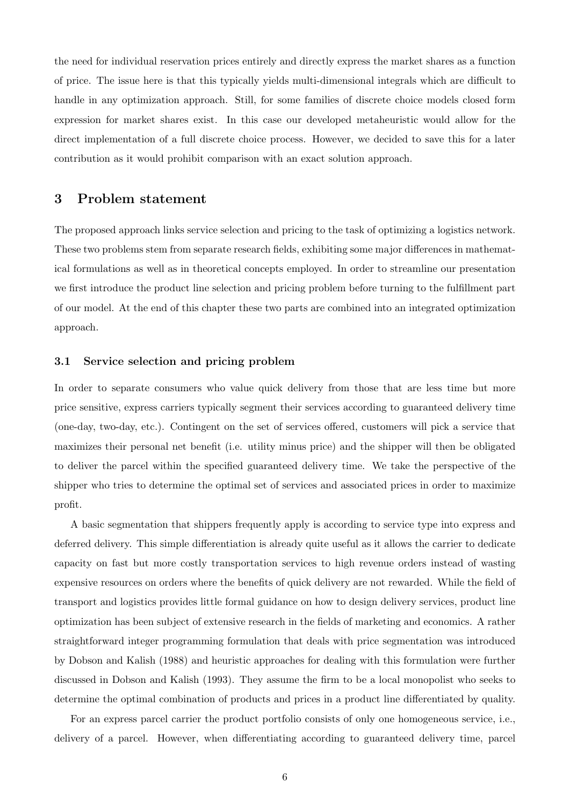the need for individual reservation prices entirely and directly express the market shares as a function of price. The issue here is that this typically yields multi-dimensional integrals which are difficult to handle in any optimization approach. Still, for some families of discrete choice models closed form expression for market shares exist. In this case our developed metaheuristic would allow for the direct implementation of a full discrete choice process. However, we decided to save this for a later contribution as it would prohibit comparison with an exact solution approach.

### 3 Problem statement

The proposed approach links service selection and pricing to the task of optimizing a logistics network. These two problems stem from separate research fields, exhibiting some major differences in mathematical formulations as well as in theoretical concepts employed. In order to streamline our presentation we first introduce the product line selection and pricing problem before turning to the fulfillment part of our model. At the end of this chapter these two parts are combined into an integrated optimization approach.

#### 3.1 Service selection and pricing problem

In order to separate consumers who value quick delivery from those that are less time but more price sensitive, express carriers typically segment their services according to guaranteed delivery time (one-day, two-day, etc.). Contingent on the set of services offered, customers will pick a service that maximizes their personal net benefit (i.e. utility minus price) and the shipper will then be obligated to deliver the parcel within the specified guaranteed delivery time. We take the perspective of the shipper who tries to determine the optimal set of services and associated prices in order to maximize profit.

A basic segmentation that shippers frequently apply is according to service type into express and deferred delivery. This simple differentiation is already quite useful as it allows the carrier to dedicate capacity on fast but more costly transportation services to high revenue orders instead of wasting expensive resources on orders where the benefits of quick delivery are not rewarded. While the field of transport and logistics provides little formal guidance on how to design delivery services, product line optimization has been subject of extensive research in the fields of marketing and economics. A rather straightforward integer programming formulation that deals with price segmentation was introduced by Dobson and Kalish (1988) and heuristic approaches for dealing with this formulation were further discussed in Dobson and Kalish (1993). They assume the firm to be a local monopolist who seeks to determine the optimal combination of products and prices in a product line differentiated by quality.

For an express parcel carrier the product portfolio consists of only one homogeneous service, i.e., delivery of a parcel. However, when differentiating according to guaranteed delivery time, parcel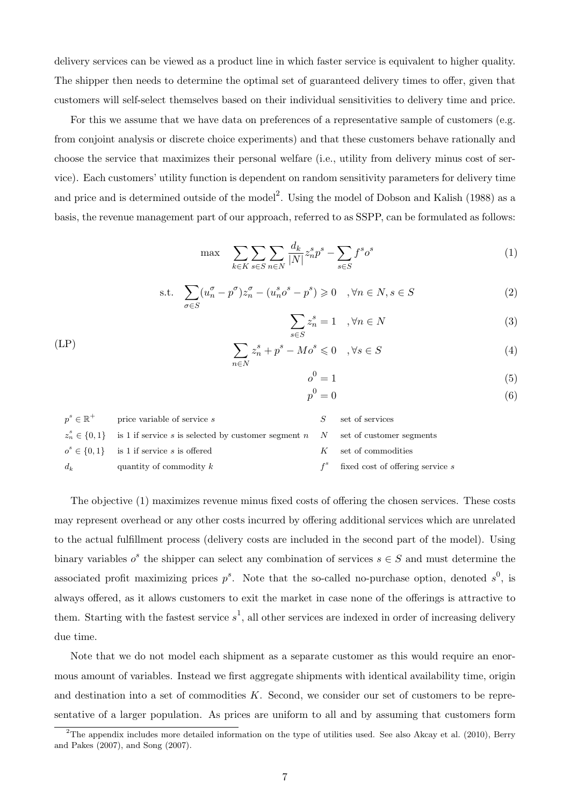delivery services can be viewed as a product line in which faster service is equivalent to higher quality. The shipper then needs to determine the optimal set of guaranteed delivery times to offer, given that customers will self-select themselves based on their individual sensitivities to delivery time and price.

For this we assume that we have data on preferences of a representative sample of customers (e.g. from conjoint analysis or discrete choice experiments) and that these customers behave rationally and choose the service that maximizes their personal welfare (i.e., utility from delivery minus cost of service). Each customers' utility function is dependent on random sensitivity parameters for delivery time and price and is determined outside of the model<sup>2</sup>. Using the model of Dobson and Kalish (1988) as a basis, the revenue management part of our approach, referred to as SSPP, can be formulated as follows:

$$
\max \quad \sum_{k \in K} \sum_{s \in S} \sum_{n \in N} \frac{d_k}{|N|} z_n^s p^s - \sum_{s \in S} f^s o^s \tag{1}
$$

s.t. 
$$
\sum_{\sigma \in S} (u_n^{\sigma} - p^{\sigma}) z_n^{\sigma} - (u_n^s o^s - p^s) \geq 0 \quad , \forall n \in N, s \in S
$$
 (2)

$$
\sum_{s \in S} z_n^s = 1 \quad , \forall n \in N \tag{3}
$$

$$
\sum_{n \in N} z_n^s + p^s - Mo^s \leq 0 \quad , \forall s \in S \tag{4}
$$

$$
o^0 = 1 \tag{5}
$$

$$
p^0 = 0 \tag{6}
$$

| $p^s \in \mathbb{R}^+$ | price variable of service s                                                                          |   | set of services                        |
|------------------------|------------------------------------------------------------------------------------------------------|---|----------------------------------------|
|                        | $z_n^s \in \{0,1\}$ is 1 if service s is selected by customer segment n $N$ set of customer segments |   |                                        |
|                        | $o^s \in \{0,1\}$ is 1 if service s is offered                                                       | K | set of commodities                     |
| $d_k$                  | quantity of commodity $k$                                                                            |   | $f^s$ fixed cost of offering service s |

(LP)

The objective (1) maximizes revenue minus fixed costs of offering the chosen services. These costs may represent overhead or any other costs incurred by offering additional services which are unrelated to the actual fulfillment process (delivery costs are included in the second part of the model). Using binary variables  $o^s$  the shipper can select any combination of services  $s \in S$  and must determine the associated profit maximizing prices  $p^s$ . Note that the so-called no-purchase option, denoted  $s^0$ , is always offered, as it allows customers to exit the market in case none of the offerings is attractive to them. Starting with the fastest service  $s^1$ , all other services are indexed in order of increasing delivery due time.

Note that we do not model each shipment as a separate customer as this would require an enormous amount of variables. Instead we first aggregate shipments with identical availability time, origin and destination into a set of commodities  $K$ . Second, we consider our set of customers to be representative of a larger population. As prices are uniform to all and by assuming that customers form

 $2$ The appendix includes more detailed information on the type of utilities used. See also Akcay et al. (2010), Berry and Pakes (2007), and Song (2007).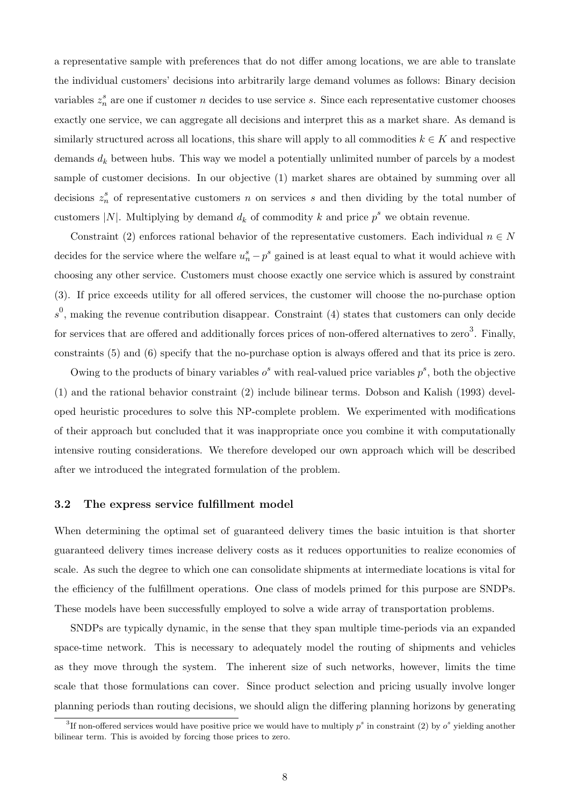a representative sample with preferences that do not differ among locations, we are able to translate the individual customers' decisions into arbitrarily large demand volumes as follows: Binary decision variables  $z_n^s$  are one if customer n decides to use service s. Since each representative customer chooses exactly one service, we can aggregate all decisions and interpret this as a market share. As demand is similarly structured across all locations, this share will apply to all commodities  $k \in K$  and respective demands  $d_k$  between hubs. This way we model a potentially unlimited number of parcels by a modest sample of customer decisions. In our objective (1) market shares are obtained by summing over all decisions  $z_n^s$  of representative customers n on services s and then dividing by the total number of customers |N|. Multiplying by demand  $d_k$  of commodity k and price  $p^s$  we obtain revenue.

Constraint (2) enforces rational behavior of the representative customers. Each individual  $n \in N$ decides for the service where the welfare  $u_n^s - p^s$  gained is at least equal to what it would achieve with choosing any other service. Customers must choose exactly one service which is assured by constraint (3). If price exceeds utility for all offered services, the customer will choose the no-purchase option  $s<sup>0</sup>$ , making the revenue contribution disappear. Constraint (4) states that customers can only decide for services that are offered and additionally forces prices of non-offered alternatives to zero<sup>3</sup>. Finally, constraints (5) and (6) specify that the no-purchase option is always offered and that its price is zero.

Owing to the products of binary variables  $o^s$  with real-valued price variables  $p^s$ , both the objective (1) and the rational behavior constraint (2) include bilinear terms. Dobson and Kalish (1993) developed heuristic procedures to solve this NP-complete problem. We experimented with modifications of their approach but concluded that it was inappropriate once you combine it with computationally intensive routing considerations. We therefore developed our own approach which will be described after we introduced the integrated formulation of the problem.

#### 3.2 The express service fulfillment model

When determining the optimal set of guaranteed delivery times the basic intuition is that shorter guaranteed delivery times increase delivery costs as it reduces opportunities to realize economies of scale. As such the degree to which one can consolidate shipments at intermediate locations is vital for the efficiency of the fulfillment operations. One class of models primed for this purpose are SNDPs. These models have been successfully employed to solve a wide array of transportation problems.

SNDPs are typically dynamic, in the sense that they span multiple time-periods via an expanded space-time network. This is necessary to adequately model the routing of shipments and vehicles as they move through the system. The inherent size of such networks, however, limits the time scale that those formulations can cover. Since product selection and pricing usually involve longer planning periods than routing decisions, we should align the differing planning horizons by generating

<sup>&</sup>lt;sup>3</sup>If non-offered services would have positive price we would have to multiply  $p^s$  in constraint (2) by  $o^s$  yielding another bilinear term. This is avoided by forcing those prices to zero.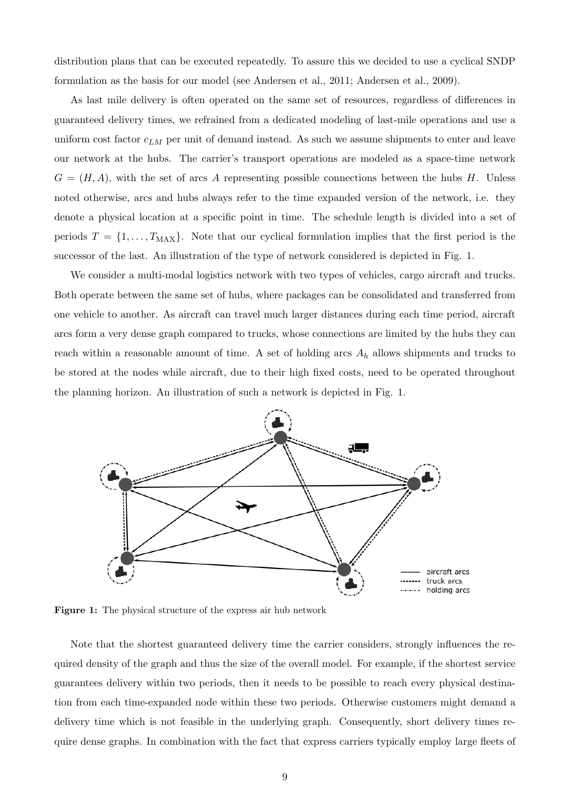distribution plans that can be executed repeatedly. To assure this we decided to use a cyclical SNDP formulation as the basis for our model (see Andersen et al., 2011; Andersen et al., 2009).

As last mile delivery is often operated on the same set of resources, regardless of differences in guaranteed delivery times, we refrained from a dedicated modeling of last-mile operations and use a uniform cost factor  $c_{LM}$  per unit of demand instead. As such we assume shipments to enter and leave our network at the hubs. The carrier's transport operations are modeled as a space-time network  $G = (H, A)$ , with the set of arcs A representing possible connections between the hubs H. Unless noted otherwise, arcs and hubs always refer to the time expanded version of the network, i.e. they denote a physical location at a specific point in time. The schedule length is divided into a set of periods  $T = \{1, \ldots, T_{\text{MAX}}\}.$  Note that our cyclical formulation implies that the first period is the successor of the last. An illustration of the type of network considered is depicted in Fig. 1.

We consider a multi-modal logistics network with two types of vehicles, cargo aircraft and trucks. Both operate between the same set of hubs, where packages can be consolidated and transferred from one vehicle to another. As aircraft can travel much larger distances during each time period, aircraft arcs form a very dense graph compared to trucks, whose connections are limited by the hubs they can reach within a reasonable amount of time. A set of holding arcs  $A_h$  allows shipments and trucks to be stored at the nodes while aircraft, due to their high fixed costs, need to be operated throughout the planning horizon. An illustration of such a network is depicted in Fig. 1.



Figure 1: The physical structure of the express air hub network

Note that the shortest guaranteed delivery time the carrier considers, strongly influences the required density of the graph and thus the size of the overall model. For example, if the shortest service guarantees delivery within two periods, then it needs to be possible to reach every physical destination from each time-expanded node within these two periods. Otherwise customers might demand a delivery time which is not feasible in the underlying graph. Consequently, short delivery times require dense graphs. In combination with the fact that express carriers typically employ large fleets of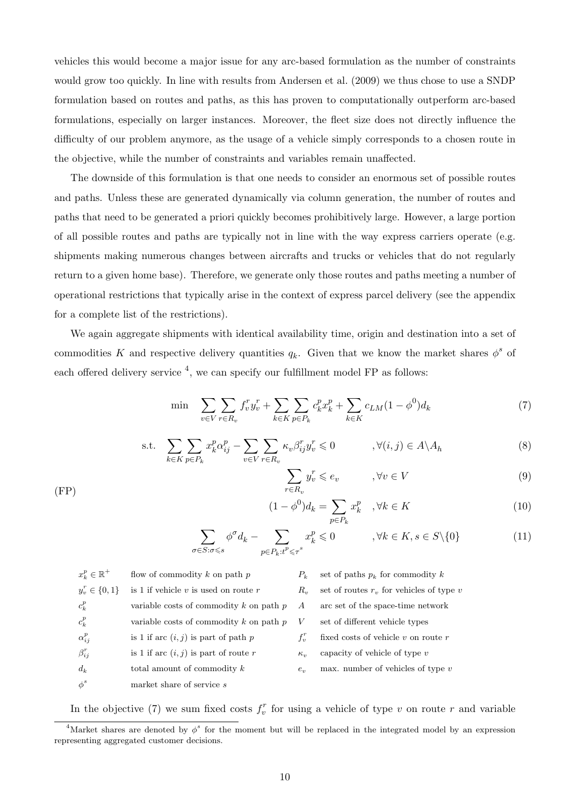vehicles this would become a major issue for any arc-based formulation as the number of constraints would grow too quickly. In line with results from Andersen et al. (2009) we thus chose to use a SNDP formulation based on routes and paths, as this has proven to computationally outperform arc-based formulations, especially on larger instances. Moreover, the fleet size does not directly influence the difficulty of our problem anymore, as the usage of a vehicle simply corresponds to a chosen route in the objective, while the number of constraints and variables remain unaffected.

The downside of this formulation is that one needs to consider an enormous set of possible routes and paths. Unless these are generated dynamically via column generation, the number of routes and paths that need to be generated a priori quickly becomes prohibitively large. However, a large portion of all possible routes and paths are typically not in line with the way express carriers operate (e.g. shipments making numerous changes between aircrafts and trucks or vehicles that do not regularly return to a given home base). Therefore, we generate only those routes and paths meeting a number of operational restrictions that typically arise in the context of express parcel delivery (see the appendix for a complete list of the restrictions).

We again aggregate shipments with identical availability time, origin and destination into a set of commodities K and respective delivery quantities  $q_k$ . Given that we know the market shares  $\phi^s$  of each offered delivery service  $^{4}$ , we can specify our fulfillment model FP as follows:

$$
\min \sum_{v \in V} \sum_{r \in R_v} f_v^r y_v^r + \sum_{k \in K} \sum_{p \in P_k} c_k^p x_k^p + \sum_{k \in K} c_{LM} (1 - \phi^0) d_k \tag{7}
$$

$$
\text{s.t.} \quad \sum_{k \in K} \sum_{p \in P_k} x_k^p \alpha_{ij}^p - \sum_{v \in V} \sum_{r \in R_v} \kappa_v \beta_{ij}^r y_v^r \leq 0 \qquad , \forall (i, j) \in A \setminus A_h \tag{8}
$$

$$
\sum_{r \in R_v} y_v^r \leqslant e_v \qquad \qquad, \forall v \in V \tag{9}
$$

$$
(1 - \phi^0)d_k = \sum_{p \in P_k} x_k^p \quad, \forall k \in K \tag{10}
$$

$$
\sum_{\sigma \in S: \sigma \leq s} \phi^{\sigma} d_k - \sum_{p \in P_k : t^p \leq \tau^s} x_k^p \leq 0 \qquad , \forall k \in K, s \in S \setminus \{0\} \tag{11}
$$

| $x_k^p \in \mathbb{R}^+$ | flow of commodity $k$ on path $p$           | $P_{k}$           | set of paths $p_k$ for commodity k          |
|--------------------------|---------------------------------------------|-------------------|---------------------------------------------|
| $y_v^r \in \{0,1\}$      | is 1 if vehicle $v$ is used on route $r$    | $R_{\cdot\cdot}$  | set of routes $rv$ , for vehicles of type v |
| $c_k^p$                  | variable costs of commodity $k$ on path $p$ | $\overline{A}$    | arc set of the space-time network           |
| $c_k^p$                  | variable costs of commodity $k$ on path $p$ | V                 | set of different vehicle types              |
| $\alpha_{i}^{p}$         | is 1 if arc $(i, j)$ is part of path p      | $f'_v$            | fixed costs of vehicle $v$ on route $r$     |
| $\beta_{ij}^r$           | is 1 if arc $(i, j)$ is part of route r     | $\kappa_{\gamma}$ | capacity of vehicle of type $v$             |
| $d_k$                    | total amount of commodity $k$               | $e_{\eta}$        | max. number of vehicles of type $v$         |
| $\phi^s$                 | market share of service s                   |                   |                                             |

(FP)

In the objective (7) we sum fixed costs  $f_v^r$  for using a vehicle of type v on route r and variable

<sup>&</sup>lt;sup>4</sup>Market shares are denoted by  $\phi^s$  for the moment but will be replaced in the integrated model by an expression representing aggregated customer decisions.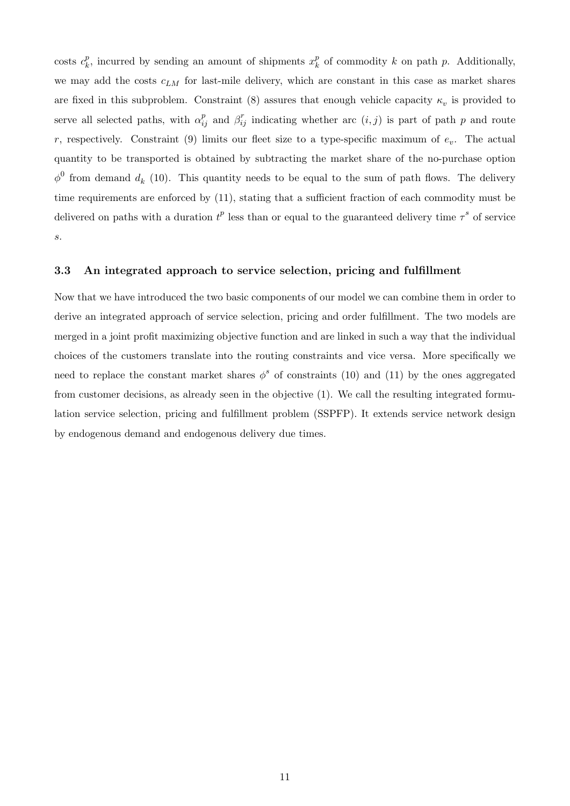$\cos$ ts  $c_k^p$  $_k^p$ , incurred by sending an amount of shipments  $x_k^p$  $\frac{p}{k}$  of commodity k on path p. Additionally, we may add the costs  $c_{LM}$  for last-mile delivery, which are constant in this case as market shares are fixed in this subproblem. Constraint (8) assures that enough vehicle capacity  $\kappa_v$  is provided to serve all selected paths, with  $\alpha_{ij}^p$  and  $\beta_{ij}^r$  indicating whether arc  $(i, j)$  is part of path p and route r, respectively. Constraint (9) limits our fleet size to a type-specific maximum of  $e_v$ . The actual quantity to be transported is obtained by subtracting the market share of the no-purchase option  $\phi^0$  from demand  $d_k$  (10). This quantity needs to be equal to the sum of path flows. The delivery time requirements are enforced by (11), stating that a sufficient fraction of each commodity must be delivered on paths with a duration  $t^p$  less than or equal to the guaranteed delivery time  $\tau^s$  of service s.

#### 3.3 An integrated approach to service selection, pricing and fulfillment

Now that we have introduced the two basic components of our model we can combine them in order to derive an integrated approach of service selection, pricing and order fulfillment. The two models are merged in a joint profit maximizing objective function and are linked in such a way that the individual choices of the customers translate into the routing constraints and vice versa. More specifically we need to replace the constant market shares  $\phi^s$  of constraints (10) and (11) by the ones aggregated from customer decisions, as already seen in the objective (1). We call the resulting integrated formulation service selection, pricing and fulfillment problem (SSPFP). It extends service network design by endogenous demand and endogenous delivery due times.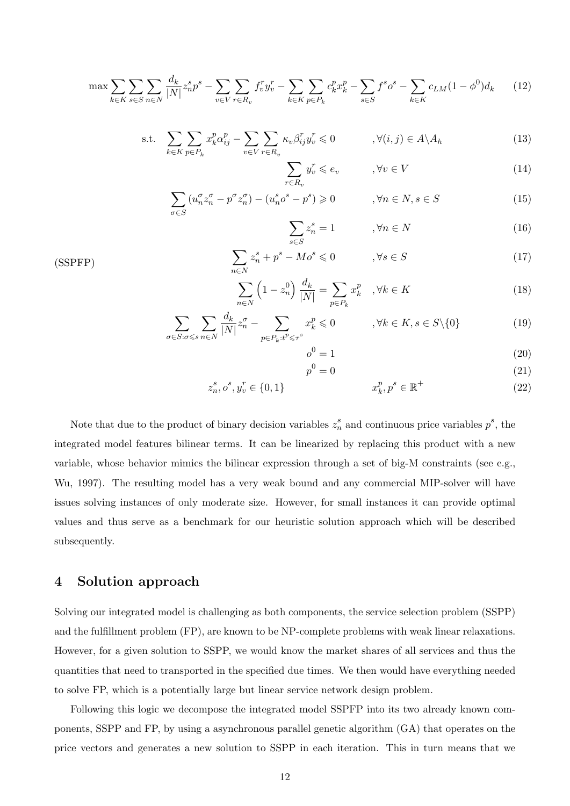$$
\max \sum_{k \in K} \sum_{s \in S} \sum_{n \in N} \frac{d_k}{|N|} z_n^s p^s - \sum_{v \in V} \sum_{r \in R_v} f_v^r y_v^r - \sum_{k \in K} \sum_{p \in P_k} c_k^p x_k^p - \sum_{s \in S} f^s o^s - \sum_{k \in K} c_{LM} (1 - \phi^0) d_k \tag{12}
$$

s.t. 
$$
\sum_{k \in K} \sum_{p \in P_k} x_k^p \alpha_{ij}^p - \sum_{v \in V} \sum_{r \in R_v} \kappa_v \beta_{ij}^r y_v^r \leq 0 \qquad , \forall (i, j) \in A \setminus A_h
$$
 (13)

$$
\sum_{r \in R_v} y_v^r \leqslant e_v \qquad , \forall v \in V \tag{14}
$$

$$
\sum_{\sigma \in S} \left( u_n^{\sigma} z_n^{\sigma} - p^{\sigma} z_n^{\sigma} \right) - \left( u_n^s o^s - p^s \right) \geq 0 \qquad , \forall n \in N, s \in S
$$
 (15)

$$
\sum_{s \in S} z_n^s = 1 \qquad \qquad , \forall n \in N \tag{16}
$$

$$
\sum_{n \in N} z_n^s + p^s - Mo^s \le 0 \qquad , \forall s \in S \tag{17}
$$

$$
\sum_{n \in N} \left( 1 - z_n^0 \right) \frac{d_k}{|N|} = \sum_{p \in P_k} x_k^p \quad , \forall k \in K \tag{18}
$$

$$
\sum_{\sigma \in S: \sigma \le s} \sum_{n \in N} \frac{d_k}{|N|} z_n^{\sigma} - \sum_{p \in P_k: t^p \le \tau^s} x_k^p \le 0 \qquad , \forall k \in K, s \in S \setminus \{0\} \tag{19}
$$
\n
$$
o^0 = 1 \tag{20}
$$

$$
o^0 = 1
$$
\n
$$
p^0 = 0
$$
\n(20)\n(21)

$$
0^0 = 0 \tag{21}
$$

$$
z_n^s, o^s, y_v^r \in \{0, 1\} \qquad x_k^p, p^s \in \mathbb{R}^+ \tag{22}
$$

Note that due to the product of binary decision variables  $z_n^s$  and continuous price variables  $p^s$ , the integrated model features bilinear terms. It can be linearized by replacing this product with a new variable, whose behavior mimics the bilinear expression through a set of big-M constraints (see e.g., Wu, 1997). The resulting model has a very weak bound and any commercial MIP-solver will have issues solving instances of only moderate size. However, for small instances it can provide optimal values and thus serve as a benchmark for our heuristic solution approach which will be described subsequently.

## 4 Solution approach

Solving our integrated model is challenging as both components, the service selection problem (SSPP) and the fulfillment problem (FP), are known to be NP-complete problems with weak linear relaxations. However, for a given solution to SSPP, we would know the market shares of all services and thus the quantities that need to transported in the specified due times. We then would have everything needed to solve FP, which is a potentially large but linear service network design problem.

Following this logic we decompose the integrated model SSPFP into its two already known components, SSPP and FP, by using a asynchronous parallel genetic algorithm (GA) that operates on the price vectors and generates a new solution to SSPP in each iteration. This in turn means that we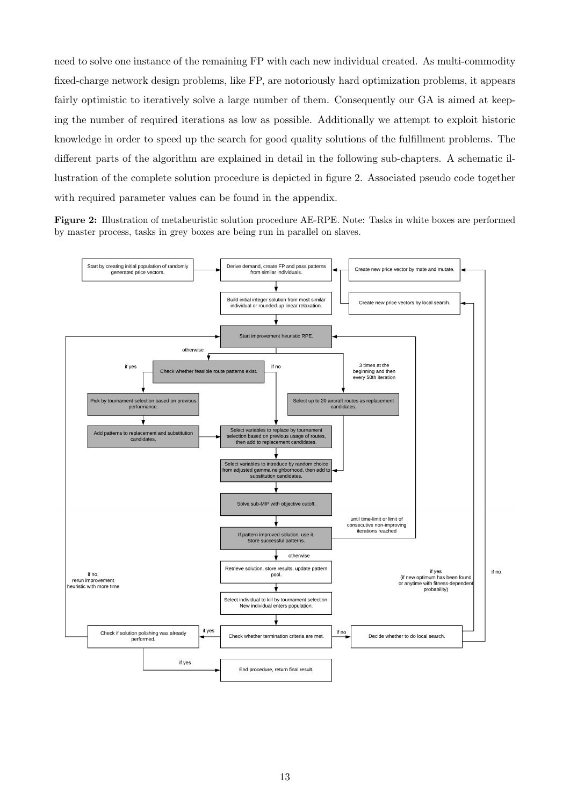need to solve one instance of the remaining FP with each new individual created. As multi-commodity fixed-charge network design problems, like FP, are notoriously hard optimization problems, it appears fairly optimistic to iteratively solve a large number of them. Consequently our GA is aimed at keeping the number of required iterations as low as possible. Additionally we attempt to exploit historic knowledge in order to speed up the search for good quality solutions of the fulfillment problems. The different parts of the algorithm are explained in detail in the following sub-chapters. A schematic illustration of the complete solution procedure is depicted in figure 2. Associated pseudo code together with required parameter values can be found in the appendix.

Figure 2: Illustration of metaheuristic solution procedure AE-RPE. Note: Tasks in white boxes are performed by master process, tasks in grey boxes are being run in parallel on slaves.

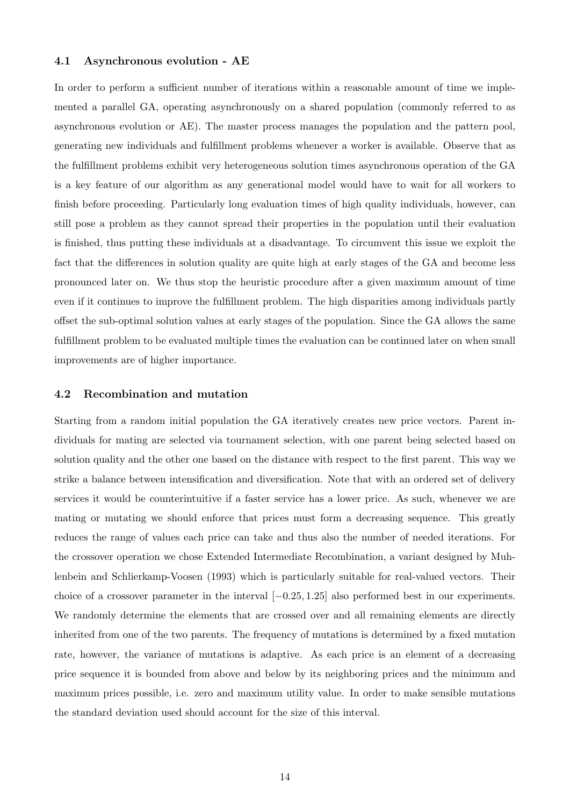#### 4.1 Asynchronous evolution - AE

In order to perform a sufficient number of iterations within a reasonable amount of time we implemented a parallel GA, operating asynchronously on a shared population (commonly referred to as asynchronous evolution or AE). The master process manages the population and the pattern pool, generating new individuals and fulfillment problems whenever a worker is available. Observe that as the fulfillment problems exhibit very heterogeneous solution times asynchronous operation of the GA is a key feature of our algorithm as any generational model would have to wait for all workers to finish before proceeding. Particularly long evaluation times of high quality individuals, however, can still pose a problem as they cannot spread their properties in the population until their evaluation is finished, thus putting these individuals at a disadvantage. To circumvent this issue we exploit the fact that the differences in solution quality are quite high at early stages of the GA and become less pronounced later on. We thus stop the heuristic procedure after a given maximum amount of time even if it continues to improve the fulfillment problem. The high disparities among individuals partly offset the sub-optimal solution values at early stages of the population. Since the GA allows the same fulfillment problem to be evaluated multiple times the evaluation can be continued later on when small improvements are of higher importance.

#### 4.2 Recombination and mutation

Starting from a random initial population the GA iteratively creates new price vectors. Parent individuals for mating are selected via tournament selection, with one parent being selected based on solution quality and the other one based on the distance with respect to the first parent. This way we strike a balance between intensification and diversification. Note that with an ordered set of delivery services it would be counterintuitive if a faster service has a lower price. As such, whenever we are mating or mutating we should enforce that prices must form a decreasing sequence. This greatly reduces the range of values each price can take and thus also the number of needed iterations. For the crossover operation we chose Extended Intermediate Recombination, a variant designed by Muhlenbein and Schlierkamp-Voosen (1993) which is particularly suitable for real-valued vectors. Their choice of a crossover parameter in the interval  $[-0.25, 1.25]$  also performed best in our experiments. We randomly determine the elements that are crossed over and all remaining elements are directly inherited from one of the two parents. The frequency of mutations is determined by a fixed mutation rate, however, the variance of mutations is adaptive. As each price is an element of a decreasing price sequence it is bounded from above and below by its neighboring prices and the minimum and maximum prices possible, i.e. zero and maximum utility value. In order to make sensible mutations the standard deviation used should account for the size of this interval.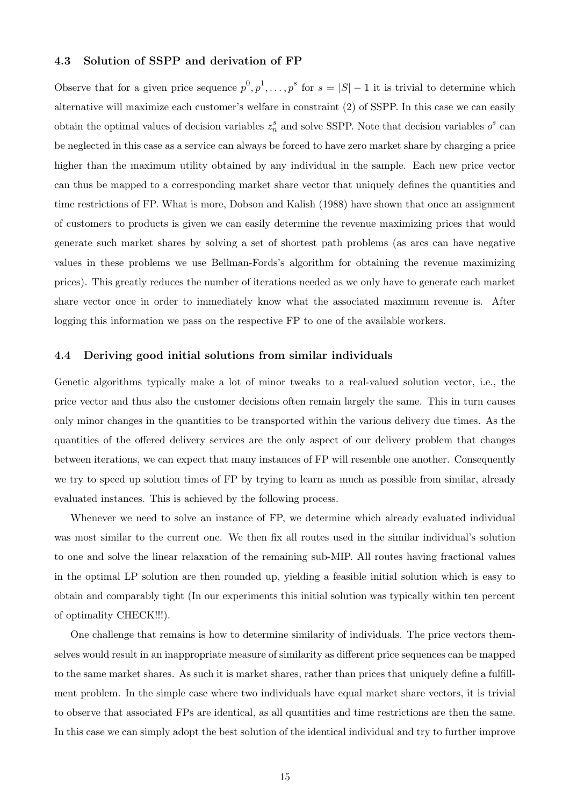#### 4.3 Solution of SSPP and derivation of FP

Observe that for a given price sequence  $p^0, p^1, \ldots, p^s$  for  $s = |S| - 1$  it is trivial to determine which alternative will maximize each customer's welfare in constraint (2) of SSPP. In this case we can easily obtain the optimal values of decision variables  $z_n^s$  and solve SSPP. Note that decision variables  $o^s$  can be neglected in this case as a service can always be forced to have zero market share by charging a price higher than the maximum utility obtained by any individual in the sample. Each new price vector can thus be mapped to a corresponding market share vector that uniquely defines the quantities and time restrictions of FP. What is more, Dobson and Kalish (1988) have shown that once an assignment of customers to products is given we can easily determine the revenue maximizing prices that would generate such market shares by solving a set of shortest path problems (as arcs can have negative values in these problems we use Bellman-Fords's algorithm for obtaining the revenue maximizing prices). This greatly reduces the number of iterations needed as we only have to generate each market share vector once in order to immediately know what the associated maximum revenue is. After logging this information we pass on the respective FP to one of the available workers.

#### 4.4 Deriving good initial solutions from similar individuals

Genetic algorithms typically make a lot of minor tweaks to a real-valued solution vector, i.e., the price vector and thus also the customer decisions often remain largely the same. This in turn causes only minor changes in the quantities to be transported within the various delivery due times. As the quantities of the offered delivery services are the only aspect of our delivery problem that changes between iterations, we can expect that many instances of FP will resemble one another. Consequently we try to speed up solution times of FP by trying to learn as much as possible from similar, already evaluated instances. This is achieved by the following process.

Whenever we need to solve an instance of FP, we determine which already evaluated individual was most similar to the current one. We then fix all routes used in the similar individual's solution to one and solve the linear relaxation of the remaining sub-MIP. All routes having fractional values in the optimal LP solution are then rounded up, yielding a feasible initial solution which is easy to obtain and comparably tight (In our experiments this initial solution was typically within ten percent of optimality CHECK!!!).

One challenge that remains is how to determine similarity of individuals. The price vectors themselves would result in an inappropriate measure of similarity as different price sequences can be mapped to the same market shares. As such it is market shares, rather than prices that uniquely define a fulfillment problem. In the simple case where two individuals have equal market share vectors, it is trivial to observe that associated FPs are identical, as all quantities and time restrictions are then the same. In this case we can simply adopt the best solution of the identical individual and try to further improve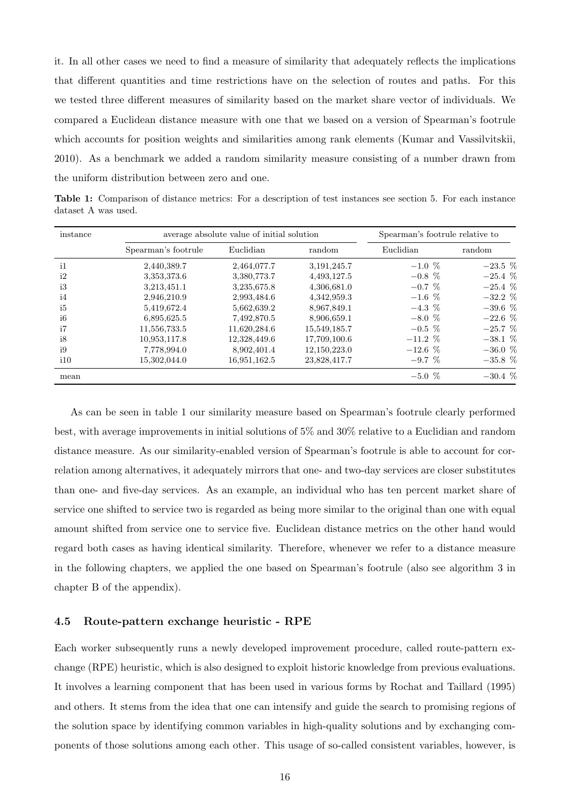it. In all other cases we need to find a measure of similarity that adequately reflects the implications that different quantities and time restrictions have on the selection of routes and paths. For this we tested three different measures of similarity based on the market share vector of individuals. We compared a Euclidean distance measure with one that we based on a version of Spearman's footrule which accounts for position weights and similarities among rank elements (Kumar and Vassilvitskii, 2010). As a benchmark we added a random similarity measure consisting of a number drawn from the uniform distribution between zero and one.

Table 1: Comparison of distance metrics: For a description of test instances see section 5. For each instance dataset A was used.

| instance     |                     | average absolute value of initial solution |              | Spearman's footrule relative to |             |  |  |
|--------------|---------------------|--------------------------------------------|--------------|---------------------------------|-------------|--|--|
|              | Spearman's footrule | Euclidian                                  | random       | Euclidian                       | random      |  |  |
| $\mathbf{i}$ | 2,440,389.7         | 2,464,077.7                                | 3,191,245.7  | $-1.0\%$                        | $-23.5\,$ % |  |  |
| i2           | 3,353,373.6         | 3,380,773.7                                | 4,493,127.5  | $-0.8~\%$                       | $-25.4\%$   |  |  |
| i3           | 3,213,451.1         | 3,235,675.8                                | 4,306,681.0  | $-0.7~\%$                       | $-25.4~\%$  |  |  |
| i4           | 2,946,210.9         | 2,993,484.6                                | 4,342,959.3  | $-1.6\%$                        | $-32.2\%$   |  |  |
| i5           | 5,419,672.4         | 5,662,639.2                                | 8,967,849.1  | $-4.3\%$                        | $-39.6\%$   |  |  |
| i6           | 6,895,625.5         | 7,492,870.5                                | 8,906,659.1  | $-8.0\%$                        | $-22.6\%$   |  |  |
| i7           | 11,556,733.5        | 11,620,284.6                               | 15,549,185.7 | $-0.5\%$                        | $-25.7~%$   |  |  |
| i8           | 10.953,117.8        | 12,328,449.6                               | 17,709,100.6 | $-11.2~\%$                      | $-38.1~%$   |  |  |
| i9           | 7,778,994.0         | 8,902,401.4                                | 12,150,223.0 | $-12.6\%$                       | $-36.0~%$   |  |  |
| i10          | 15,302,044.0        | 16,951,162.5                               | 23,828,417.7 | $-9.7~\%$                       | $-35.8\%$   |  |  |
| mean         |                     |                                            |              | $-5.0\%$                        | $-30.4~%$   |  |  |

As can be seen in table 1 our similarity measure based on Spearman's footrule clearly performed best, with average improvements in initial solutions of 5% and 30% relative to a Euclidian and random distance measure. As our similarity-enabled version of Spearman's footrule is able to account for correlation among alternatives, it adequately mirrors that one- and two-day services are closer substitutes than one- and five-day services. As an example, an individual who has ten percent market share of service one shifted to service two is regarded as being more similar to the original than one with equal amount shifted from service one to service five. Euclidean distance metrics on the other hand would regard both cases as having identical similarity. Therefore, whenever we refer to a distance measure in the following chapters, we applied the one based on Spearman's footrule (also see algorithm 3 in chapter B of the appendix).

#### 4.5 Route-pattern exchange heuristic - RPE

Each worker subsequently runs a newly developed improvement procedure, called route-pattern exchange (RPE) heuristic, which is also designed to exploit historic knowledge from previous evaluations. It involves a learning component that has been used in various forms by Rochat and Taillard (1995) and others. It stems from the idea that one can intensify and guide the search to promising regions of the solution space by identifying common variables in high-quality solutions and by exchanging components of those solutions among each other. This usage of so-called consistent variables, however, is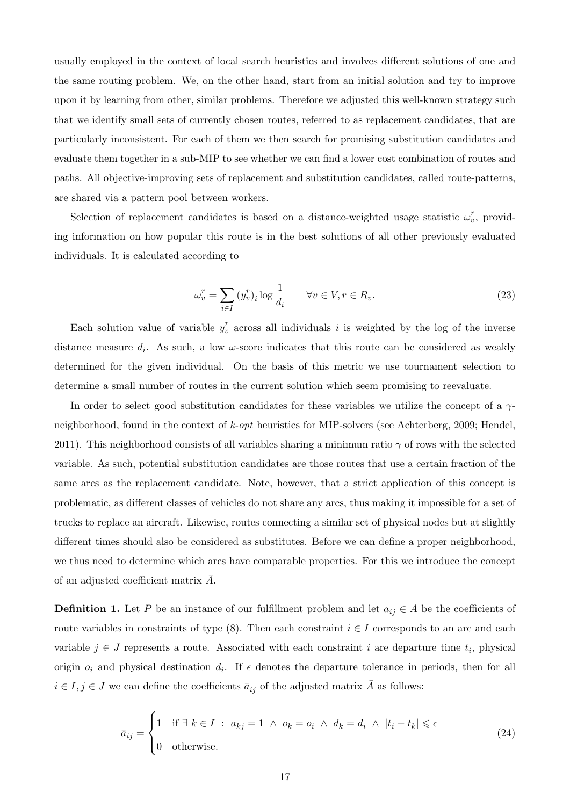usually employed in the context of local search heuristics and involves different solutions of one and the same routing problem. We, on the other hand, start from an initial solution and try to improve upon it by learning from other, similar problems. Therefore we adjusted this well-known strategy such that we identify small sets of currently chosen routes, referred to as replacement candidates, that are particularly inconsistent. For each of them we then search for promising substitution candidates and evaluate them together in a sub-MIP to see whether we can find a lower cost combination of routes and paths. All objective-improving sets of replacement and substitution candidates, called route-patterns, are shared via a pattern pool between workers.

Selection of replacement candidates is based on a distance-weighted usage statistic  $\omega_v^r$ , providing information on how popular this route is in the best solutions of all other previously evaluated individuals. It is calculated according to

$$
\omega_v^r = \sum_{i \in I} (y_v^r)_i \log \frac{1}{d_i} \qquad \forall v \in V, r \in R_v.
$$
\n
$$
(23)
$$

Each solution value of variable  $y_v^r$  across all individuals i is weighted by the log of the inverse distance measure  $d_i$ . As such, a low  $\omega$ -score indicates that this route can be considered as weakly determined for the given individual. On the basis of this metric we use tournament selection to determine a small number of routes in the current solution which seem promising to reevaluate.

In order to select good substitution candidates for these variables we utilize the concept of a  $\gamma$ neighborhood, found in the context of k-opt heuristics for MIP-solvers (see Achterberg, 2009; Hendel, 2011). This neighborhood consists of all variables sharing a minimum ratio  $\gamma$  of rows with the selected variable. As such, potential substitution candidates are those routes that use a certain fraction of the same arcs as the replacement candidate. Note, however, that a strict application of this concept is problematic, as different classes of vehicles do not share any arcs, thus making it impossible for a set of trucks to replace an aircraft. Likewise, routes connecting a similar set of physical nodes but at slightly different times should also be considered as substitutes. Before we can define a proper neighborhood, we thus need to determine which arcs have comparable properties. For this we introduce the concept of an adjusted coefficient matrix  $\overline{A}$ .

**Definition 1.** Let P be an instance of our fulfillment problem and let  $a_{ij} \in A$  be the coefficients of route variables in constraints of type  $(8)$ . Then each constraint  $i \in I$  corresponds to an arc and each variable  $j \in J$  represents a route. Associated with each constraint i are departure time  $t_i$ , physical origin  $o_i$  and physical destination  $d_i$ . If  $\epsilon$  denotes the departure tolerance in periods, then for all  $i \in I, j \in J$  we can define the coefficients  $\bar{a}_{ij}$  of the adjusted matrix A as follows:

$$
\bar{a}_{ij} = \begin{cases}\n1 & \text{if } \exists \ k \in I : a_{kj} = 1 \ \land \ o_k = o_i \ \land \ d_k = d_i \ \land \ |t_i - t_k| \le \epsilon \\
0 & \text{otherwise.} \end{cases} \tag{24}
$$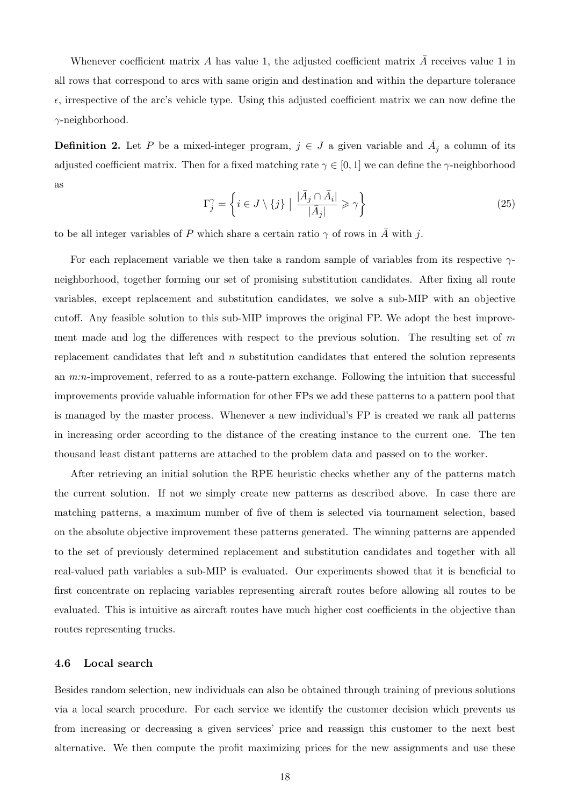Whenever coefficient matrix A has value 1, the adjusted coefficient matrix  $\bar{A}$  receives value 1 in all rows that correspond to arcs with same origin and destination and within the departure tolerance  $\epsilon$ , irrespective of the arc's vehicle type. Using this adjusted coefficient matrix we can now define the  $\gamma$ -neighborhood.

**Definition 2.** Let P be a mixed-integer program,  $j \in J$  a given variable and  $\overline{A}_j$  a column of its adjusted coefficient matrix. Then for a fixed matching rate  $\gamma \in [0, 1]$  we can define the  $\gamma$ -neighborhood as

$$
\Gamma_j^{\gamma} = \left\{ i \in J \setminus \{j\} \mid \frac{|\bar{A}_j \cap \bar{A}_i|}{|\bar{A}_j|} \geqslant \gamma \right\}
$$
\n(25)

to be all integer variables of P which share a certain ratio  $\gamma$  of rows in  $\overline{A}$  with j.

For each replacement variable we then take a random sample of variables from its respective  $\gamma$ neighborhood, together forming our set of promising substitution candidates. After fixing all route variables, except replacement and substitution candidates, we solve a sub-MIP with an objective cutoff. Any feasible solution to this sub-MIP improves the original FP. We adopt the best improvement made and log the differences with respect to the previous solution. The resulting set of  $m$ replacement candidates that left and n substitution candidates that entered the solution represents an m:n-improvement, referred to as a route-pattern exchange. Following the intuition that successful improvements provide valuable information for other FPs we add these patterns to a pattern pool that is managed by the master process. Whenever a new individual's FP is created we rank all patterns in increasing order according to the distance of the creating instance to the current one. The ten thousand least distant patterns are attached to the problem data and passed on to the worker.

After retrieving an initial solution the RPE heuristic checks whether any of the patterns match the current solution. If not we simply create new patterns as described above. In case there are matching patterns, a maximum number of five of them is selected via tournament selection, based on the absolute objective improvement these patterns generated. The winning patterns are appended to the set of previously determined replacement and substitution candidates and together with all real-valued path variables a sub-MIP is evaluated. Our experiments showed that it is beneficial to first concentrate on replacing variables representing aircraft routes before allowing all routes to be evaluated. This is intuitive as aircraft routes have much higher cost coefficients in the objective than routes representing trucks.

#### 4.6 Local search

Besides random selection, new individuals can also be obtained through training of previous solutions via a local search procedure. For each service we identify the customer decision which prevents us from increasing or decreasing a given services' price and reassign this customer to the next best alternative. We then compute the profit maximizing prices for the new assignments and use these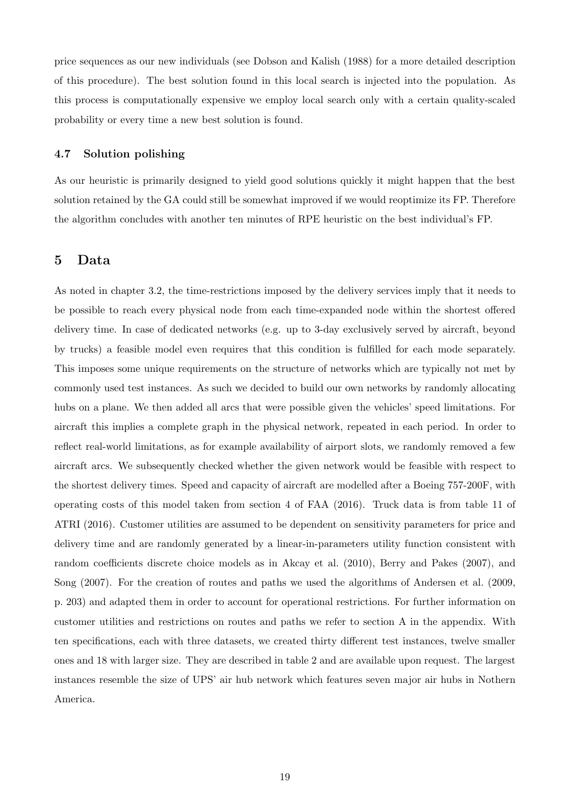price sequences as our new individuals (see Dobson and Kalish (1988) for a more detailed description of this procedure). The best solution found in this local search is injected into the population. As this process is computationally expensive we employ local search only with a certain quality-scaled probability or every time a new best solution is found.

#### 4.7 Solution polishing

As our heuristic is primarily designed to yield good solutions quickly it might happen that the best solution retained by the GA could still be somewhat improved if we would reoptimize its FP. Therefore the algorithm concludes with another ten minutes of RPE heuristic on the best individual's FP.

## 5 Data

As noted in chapter 3.2, the time-restrictions imposed by the delivery services imply that it needs to be possible to reach every physical node from each time-expanded node within the shortest offered delivery time. In case of dedicated networks (e.g. up to 3-day exclusively served by aircraft, beyond by trucks) a feasible model even requires that this condition is fulfilled for each mode separately. This imposes some unique requirements on the structure of networks which are typically not met by commonly used test instances. As such we decided to build our own networks by randomly allocating hubs on a plane. We then added all arcs that were possible given the vehicles' speed limitations. For aircraft this implies a complete graph in the physical network, repeated in each period. In order to reflect real-world limitations, as for example availability of airport slots, we randomly removed a few aircraft arcs. We subsequently checked whether the given network would be feasible with respect to the shortest delivery times. Speed and capacity of aircraft are modelled after a Boeing 757-200F, with operating costs of this model taken from section 4 of FAA (2016). Truck data is from table 11 of ATRI (2016). Customer utilities are assumed to be dependent on sensitivity parameters for price and delivery time and are randomly generated by a linear-in-parameters utility function consistent with random coefficients discrete choice models as in Akcay et al. (2010), Berry and Pakes (2007), and Song (2007). For the creation of routes and paths we used the algorithms of Andersen et al. (2009, p. 203) and adapted them in order to account for operational restrictions. For further information on customer utilities and restrictions on routes and paths we refer to section A in the appendix. With ten specifications, each with three datasets, we created thirty different test instances, twelve smaller ones and 18 with larger size. They are described in table 2 and are available upon request. The largest instances resemble the size of UPS' air hub network which features seven major air hubs in Nothern America.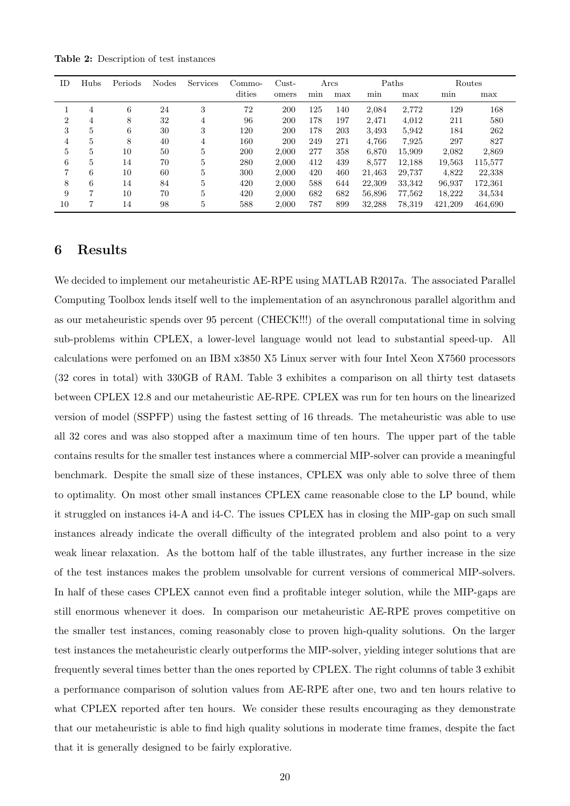Table 2: Description of test instances

| ΙD | Hubs | Periods | <b>Nodes</b> | Services | Commo- | $\mathrm{Cust}$ |     | Arcs |        | Paths  | Routes  |         |
|----|------|---------|--------------|----------|--------|-----------------|-----|------|--------|--------|---------|---------|
|    |      |         |              |          | dities | omers           | min | max  | min    | max    | min     | max     |
|    | 4    | 6       | 24           | 3        | 72     | 200             | 125 | 140  | 2,084  | 2,772  | 129     | 168     |
| 2  | 4    | 8       | 32           | 4        | 96     | 200             | 178 | 197  | 2,471  | 4,012  | 211     | 580     |
| 3  | 5    | 6       | 30           | 3        | 120    | 200             | 178 | 203  | 3.493  | 5.942  | 184     | 262     |
| 4  | 5    | 8       | 40           | 4        | 160    | 200             | 249 | 271  | 4,766  | 7,925  | 297     | 827     |
| 5  | 5    | 10      | 50           | 5        | 200    | 2.000           | 277 | 358  | 6,870  | 15,909 | 2,082   | 2,869   |
| 6  | 5    | 14      | 70           | 5        | 280    | 2,000           | 412 | 439  | 8,577  | 12,188 | 19,563  | 115,577 |
| 7  | 6    | 10      | 60           | 5        | 300    | 2.000           | 420 | 460  | 21.463 | 29,737 | 4,822   | 22,338  |
| 8  | 6    | 14      | 84           | 5        | 420    | 2,000           | 588 | 644  | 22,309 | 33,342 | 96.937  | 172,361 |
| 9  | 7    | 10      | 70           | 5        | 420    | 2.000           | 682 | 682  | 56,896 | 77,562 | 18,222  | 34,534  |
| 10 | 7    | 14      | 98           | 5        | 588    | 2,000           | 787 | 899  | 32,288 | 78,319 | 421,209 | 464.690 |

## 6 Results

We decided to implement our metaheuristic AE-RPE using MATLAB R2017a. The associated Parallel Computing Toolbox lends itself well to the implementation of an asynchronous parallel algorithm and as our metaheuristic spends over 95 percent (CHECK!!!) of the overall computational time in solving sub-problems within CPLEX, a lower-level language would not lead to substantial speed-up. All calculations were perfomed on an IBM x3850 X5 Linux server with four Intel Xeon X7560 processors (32 cores in total) with 330GB of RAM. Table 3 exhibites a comparison on all thirty test datasets between CPLEX 12.8 and our metaheuristic AE-RPE. CPLEX was run for ten hours on the linearized version of model (SSPFP) using the fastest setting of 16 threads. The metaheuristic was able to use all 32 cores and was also stopped after a maximum time of ten hours. The upper part of the table contains results for the smaller test instances where a commercial MIP-solver can provide a meaningful benchmark. Despite the small size of these instances, CPLEX was only able to solve three of them to optimality. On most other small instances CPLEX came reasonable close to the LP bound, while it struggled on instances i4-A and i4-C. The issues CPLEX has in closing the MIP-gap on such small instances already indicate the overall difficulty of the integrated problem and also point to a very weak linear relaxation. As the bottom half of the table illustrates, any further increase in the size of the test instances makes the problem unsolvable for current versions of commerical MIP-solvers. In half of these cases CPLEX cannot even find a profitable integer solution, while the MIP-gaps are still enormous whenever it does. In comparison our metaheuristic AE-RPE proves competitive on the smaller test instances, coming reasonably close to proven high-quality solutions. On the larger test instances the metaheuristic clearly outperforms the MIP-solver, yielding integer solutions that are frequently several times better than the ones reported by CPLEX. The right columns of table 3 exhibit a performance comparison of solution values from AE-RPE after one, two and ten hours relative to what CPLEX reported after ten hours. We consider these results encouraging as they demonstrate that our metaheuristic is able to find high quality solutions in moderate time frames, despite the fact that it is generally designed to be fairly explorative.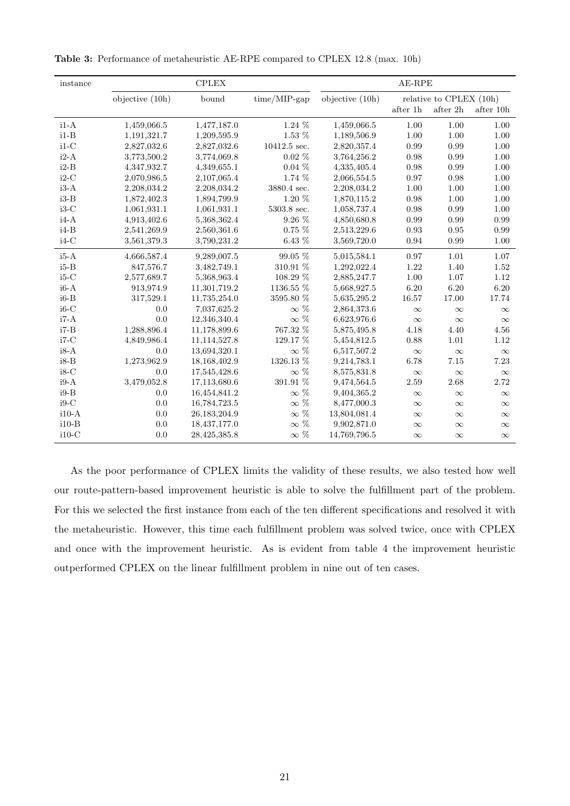| instance |                   | ${\rm CPLEX}$ | $AE-RPE$        |                   |          |                         |                      |
|----------|-------------------|---------------|-----------------|-------------------|----------|-------------------------|----------------------|
|          | objective $(10h)$ | bound         | $time/MIP$ -gap | objective $(10h)$ |          | relative to CPLEX (10h) |                      |
|          |                   |               |                 |                   | after 1h | after 2h                | after $10\mathrm{h}$ |
| $i1-A$   | 1,459,066.5       | 1,477,187.0   | 1.24 %          | 1,459,066.5       | 1.00     | 1.00                    | 1.00                 |
| $i1-B$   | 1,191,321.7       | 1,209,595.9   | 1.53 %          | 1,189,506.9       | 1.00     | 1.00                    | 1.00                 |
| $i1-C$   | 2,827,032.6       | 2,827,032.6   | 10412.5 sec.    | 2,820,357.4       | 0.99     | 0.99                    | 1.00                 |
| $i2-A$   | 3,773,500.2       | 3,774,069.8   | $0.02\%$        | 3,764,256.2       | 0.98     | 0.99                    | 1.00                 |
| $i2-B$   | 4,347,932.7       | 4,349,655.1   | $0.04\%$        | 4,335,405.4       | 0.98     | 0.99                    | 1.00                 |
| $i2-C$   | 2,070,986.5       | 2,107,065.4   | 1.74 %          | 2,066,554.5       | 0.97     | 0.98                    | 1.00                 |
| $i3-A$   | 2,208,034.2       | 2,208,034.2   | 3880.4 sec.     | 2,208,034.2       | 1.00     | 1.00                    | 1.00                 |
| $i3-B$   | 1,872,402.3       | 1,894,799.9   | 1.20 %          | 1,870,115.2       | 0.98     | 1.00                    | 1.00                 |
| $i3-C$   | 1,061,931.1       | 1,061,931.1   | 5303.8 sec.     | 1,058,737.4       | 0.98     | 0.99                    | 1.00                 |
| $i4-A$   | 4,913,402.6       | 5,368,362.4   | $9.26\%$        | 4,850,680.8       | 0.99     | 0.99                    | 0.99                 |
| $i4-B$   | 2,541,269.9       | 2,560,361.6   | $0.75\%$        | 2,513,229.6       | 0.93     | 0.95                    | 0.99                 |
| $i4-C$   | 3,561,379.3       | 3,790,231.2   | $6.43~\%$       | 3,569,720.0       | 0.94     | 0.99                    | 1.00                 |
| $i5-A$   | 4,666,587.4       | 9,289,007.5   | $99.05~\%$      | 5,015,584.1       | 0.97     | 1.01                    | 1.07                 |
| $i5-B$   | 847,576.7         | 3,482,749.1   | $310.91~\%$     | 1,292,022.4       | 1.22     | 1.40                    | 1.52                 |
| $i5-C$   | 2,577,689.7       | 5,368,963.4   | $108.29~\%$     | 2,885,247.7       | 1.00     | 1.07                    | 1.12                 |
| $i6-A$   | 913,974.9         | 11,301,719.2  | 1136.55 %       | 5,668,927.5       | 6.20     | 6.20                    | 6.20                 |
| $i6-B$   | 317,529.1         | 11,735,254.0  | 3595.80 %       | 5,635,295.2       | 16.57    | 17.00                   | 17.74                |
| $i6-C$   | 0.0               | 7,037,625.2   | $\infty$ %      | 2,864,373.6       | $\infty$ | $\infty$                | $\infty$             |
| $i7-A$   | 0.0               | 12,346,340.4  | $\infty$ %      | 6,623,976.6       | $\infty$ | $\infty$                | $\infty$             |
| $i7 - B$ | 1,288,896.4       | 11,178,899.6  | 767.32 %        | 5,875,495.8       | 4.18     | 4.40                    | 4.56                 |
| $i7-C$   | 4,849,986.4       | 11,114,527.8  | $129.17~\%$     | 5,454,812.5       | 0.88     | 1.01                    | 1.12                 |
| $i8-A$   | 0.0               | 13,694,320.1  | $\infty$ %      | 6,517,507.2       | $\infty$ | $\infty$                | $\infty$             |
| $i8-B$   | 1,273,962.9       | 18,168,402.9  | $1326.13~\%$    | 9,214,783.1       | 6.78     | 7.15                    | 7.23                 |
| $i8-C$   | 0.0               | 17,545,428.6  | $\infty$ %      | 8,575,831.8       | $\infty$ | $\infty$                | $\infty$             |
| $i9-A$   | 3,479,052.8       | 17,113,680.6  | $391.91~\%$     | 9,474,564.5       | 2.59     | 2.68                    | 2.72                 |
| $i9-B$   | 0.0               | 16,454,841.2  | $\infty$ %      | 9,404,365.2       | $\infty$ | $\infty$                | $\infty$             |
| $i9-C$   | $0.0\,$           | 16,784,723.5  | $\infty$ %      | 8,477,000.3       | $\infty$ | $\infty$                | $\infty$             |
| $i10-A$  | 0.0               | 26,183,204.9  | $\infty$ %      | 13,804,081.4      | $\infty$ | $\infty$                | $\infty$             |
| $i10-B$  | 0.0               | 18,437,177.0  | $\infty$ %      | 9,902,871.0       | $\infty$ | $\infty$                | $\infty$             |
| $i10-C$  | 0.0               | 28,425,385.8  | $\infty$ %      | 14,769,796.5      | $\infty$ | $\infty$                | $\infty$             |

Table 3: Performance of metaheuristic AE-RPE compared to CPLEX 12.8 (max. 10h)

As the poor performance of CPLEX limits the validity of these results, we also tested how well our route-pattern-based improvement heuristic is able to solve the fulfillment part of the problem. For this we selected the first instance from each of the ten different specifications and resolved it with the metaheuristic. However, this time each fulfillment problem was solved twice, once with CPLEX and once with the improvement heuristic. As is evident from table 4 the improvement heuristic outperformed CPLEX on the linear fulfillment problem in nine out of ten cases.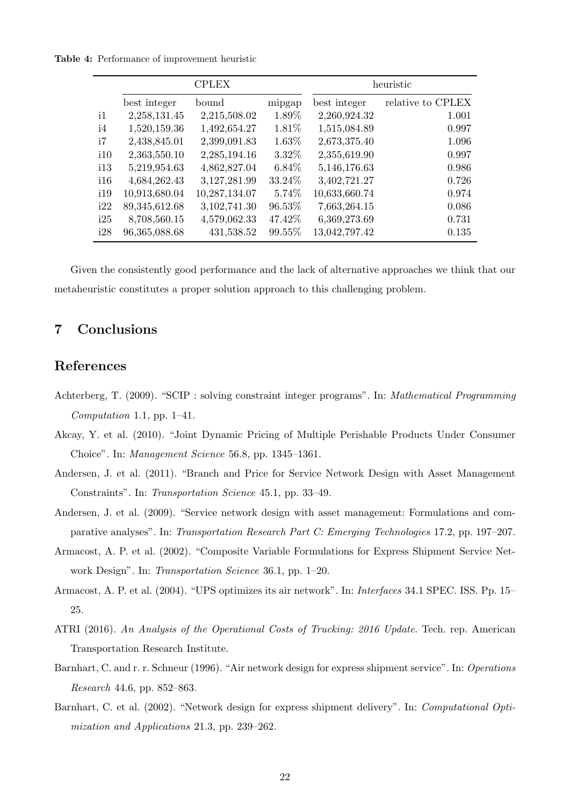Table 4: Performance of improvement heuristic

|                |               | <b>CPLEX</b>  |          |               | heuristic         |
|----------------|---------------|---------------|----------|---------------|-------------------|
|                | best integer  | bound         | mipgap   | best integer  | relative to CPLEX |
| $\mathbf{i}$ 1 | 2,258,131.45  | 2,215,508.02  | 1.89%    | 2,260,924.32  | 1.001             |
| i4             | 1,520,159.36  | 1,492,654.27  | 1.81\%   | 1,515,084.89  | 0.997             |
| i7             | 2,438,845.01  | 2,399,091.83  | 1.63%    | 2,673,375.40  | 1.096             |
| i10            | 2,363,550.10  | 2,285,194.16  | $3.32\%$ | 2,355,619.90  | 0.997             |
| 113            | 5,219,954.63  | 4,862,827.04  | $6.84\%$ | 5,146,176.63  | 0.986             |
| i16            | 4,684,262.43  | 3,127,281.99  | 33.24%   | 3,402,721.27  | 0.726             |
| 119            | 10,913,680.04 | 10,287,134.07 | 5.74%    | 10,633,660.74 | 0.974             |
| i22            | 89,345,612.68 | 3,102,741.30  | 96.53%   | 7,663,264.15  | 0.086             |
| i25            | 8,708,560.15  | 4,579,062.33  | 47.42%   | 6,369,273.69  | 0.731             |
| i28            | 96,365,088.68 | 431,538.52    | 99.55%   | 13,042,797.42 | 0.135             |

Given the consistently good performance and the lack of alternative approaches we think that our metaheuristic constitutes a proper solution approach to this challenging problem.

## 7 Conclusions

## References

- Achterberg, T. (2009). "SCIP : solving constraint integer programs". In: Mathematical Programming Computation 1.1, pp. 1–41.
- Akcay, Y. et al. (2010). "Joint Dynamic Pricing of Multiple Perishable Products Under Consumer Choice". In: Management Science 56.8, pp. 1345–1361.
- Andersen, J. et al. (2011). "Branch and Price for Service Network Design with Asset Management Constraints". In: Transportation Science 45.1, pp. 33–49.
- Andersen, J. et al. (2009). "Service network design with asset management: Formulations and comparative analyses". In: Transportation Research Part C: Emerging Technologies 17.2, pp. 197–207.
- Armacost, A. P. et al. (2002). "Composite Variable Formulations for Express Shipment Service Network Design". In: Transportation Science 36.1, pp. 1–20.
- Armacost, A. P. et al. (2004). "UPS optimizes its air network". In: Interfaces 34.1 SPEC. ISS. Pp. 15– 25.
- ATRI (2016). An Analysis of the Operational Costs of Trucking: 2016 Update. Tech. rep. American Transportation Research Institute.
- Barnhart, C. and r. r. Schneur (1996). "Air network design for express shipment service". In: Operations Research 44.6, pp. 852–863.
- Barnhart, C. et al. (2002). "Network design for express shipment delivery". In: Computational Optimization and Applications 21.3, pp. 239–262.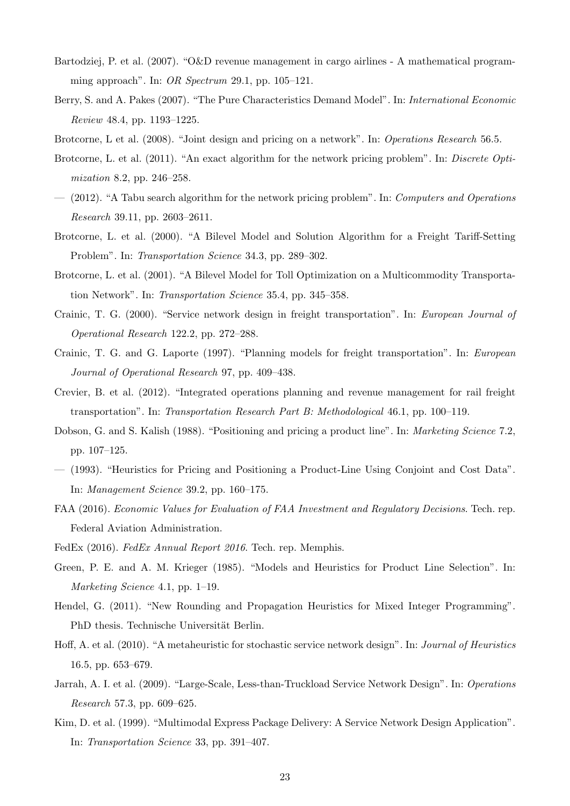- Bartodziej, P. et al. (2007). "O&D revenue management in cargo airlines A mathematical programming approach". In: OR Spectrum 29.1, pp. 105–121.
- Berry, S. and A. Pakes (2007). "The Pure Characteristics Demand Model". In: International Economic Review 48.4, pp. 1193–1225.
- Brotcorne, L et al. (2008). "Joint design and pricing on a network". In: *Operations Research* 56.5.
- Brotcorne, L. et al. (2011). "An exact algorithm for the network pricing problem". In: *Discrete Opti*mization 8.2, pp. 246–258.
- (2012). "A Tabu search algorithm for the network pricing problem". In: Computers and Operations Research 39.11, pp. 2603–2611.
- Brotcorne, L. et al. (2000). "A Bilevel Model and Solution Algorithm for a Freight Tariff-Setting Problem". In: Transportation Science 34.3, pp. 289–302.
- Brotcorne, L. et al. (2001). "A Bilevel Model for Toll Optimization on a Multicommodity Transportation Network". In: Transportation Science 35.4, pp. 345–358.
- Crainic, T. G. (2000). "Service network design in freight transportation". In: European Journal of Operational Research 122.2, pp. 272–288.
- Crainic, T. G. and G. Laporte (1997). "Planning models for freight transportation". In: European Journal of Operational Research 97, pp. 409–438.
- Crevier, B. et al. (2012). "Integrated operations planning and revenue management for rail freight transportation". In: Transportation Research Part B: Methodological 46.1, pp. 100–119.
- Dobson, G. and S. Kalish (1988). "Positioning and pricing a product line". In: Marketing Science 7.2, pp. 107–125.
- (1993). "Heuristics for Pricing and Positioning a Product-Line Using Conjoint and Cost Data". In: Management Science 39.2, pp. 160–175.
- FAA (2016). Economic Values for Evaluation of FAA Investment and Regulatory Decisions. Tech. rep. Federal Aviation Administration.
- FedEx (2016). FedEx Annual Report 2016. Tech. rep. Memphis.
- Green, P. E. and A. M. Krieger (1985). "Models and Heuristics for Product Line Selection". In: Marketing Science 4.1, pp. 1–19.
- Hendel, G. (2011). "New Rounding and Propagation Heuristics for Mixed Integer Programming". PhD thesis. Technische Universität Berlin.
- Hoff, A. et al. (2010). "A metaheuristic for stochastic service network design". In: Journal of Heuristics 16.5, pp. 653–679.
- Jarrah, A. I. et al. (2009). "Large-Scale, Less-than-Truckload Service Network Design". In: Operations Research 57.3, pp. 609–625.
- Kim, D. et al. (1999). "Multimodal Express Package Delivery: A Service Network Design Application". In: Transportation Science 33, pp. 391–407.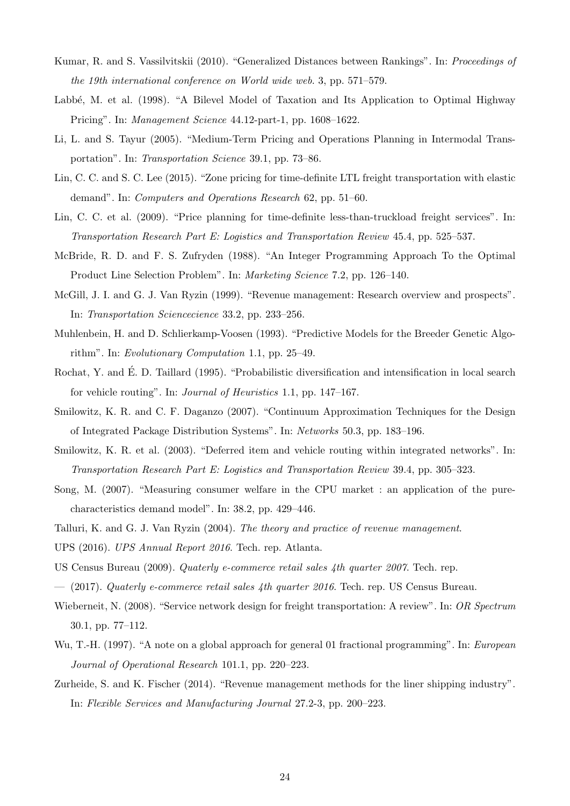- Kumar, R. and S. Vassilvitskii (2010). "Generalized Distances between Rankings". In: Proceedings of the 19th international conference on World wide web. 3, pp. 571–579.
- Labbé, M. et al. (1998). "A Bilevel Model of Taxation and Its Application to Optimal Highway Pricing". In: Management Science 44.12-part-1, pp. 1608–1622.
- Li, L. and S. Tayur (2005). "Medium-Term Pricing and Operations Planning in Intermodal Transportation". In: Transportation Science 39.1, pp. 73–86.
- Lin, C. C. and S. C. Lee (2015). "Zone pricing for time-definite LTL freight transportation with elastic demand". In: Computers and Operations Research 62, pp. 51–60.
- Lin, C. C. et al. (2009). "Price planning for time-definite less-than-truckload freight services". In: Transportation Research Part E: Logistics and Transportation Review 45.4, pp. 525–537.
- McBride, R. D. and F. S. Zufryden (1988). "An Integer Programming Approach To the Optimal Product Line Selection Problem". In: Marketing Science 7.2, pp. 126–140.
- McGill, J. I. and G. J. Van Ryzin (1999). "Revenue management: Research overview and prospects". In: Transportation Sciencecience 33.2, pp. 233–256.
- Muhlenbein, H. and D. Schlierkamp-Voosen (1993). "Predictive Models for the Breeder Genetic Algorithm". In: Evolutionary Computation 1.1, pp. 25–49.
- Rochat, Y. and E. D. Taillard (1995). "Probabilistic diversification and intensification in local search ´ for vehicle routing". In: Journal of Heuristics 1.1, pp. 147–167.
- Smilowitz, K. R. and C. F. Daganzo (2007). "Continuum Approximation Techniques for the Design of Integrated Package Distribution Systems". In: Networks 50.3, pp. 183–196.
- Smilowitz, K. R. et al. (2003). "Deferred item and vehicle routing within integrated networks". In: Transportation Research Part E: Logistics and Transportation Review 39.4, pp. 305–323.
- Song, M. (2007). "Measuring consumer welfare in the CPU market : an application of the purecharacteristics demand model". In: 38.2, pp. 429–446.
- Talluri, K. and G. J. Van Ryzin (2004). The theory and practice of revenue management.
- UPS (2016). UPS Annual Report 2016. Tech. rep. Atlanta.
- US Census Bureau (2009). Quaterly e-commerce retail sales 4th quarter 2007. Tech. rep.
- $-$  (2017). Quaterly e-commerce retail sales 4th quarter 2016. Tech. rep. US Census Bureau.
- Wieberneit, N. (2008). "Service network design for freight transportation: A review". In: OR Spectrum 30.1, pp. 77–112.
- Wu, T.-H. (1997). "A note on a global approach for general 01 fractional programming". In: European Journal of Operational Research 101.1, pp. 220–223.
- Zurheide, S. and K. Fischer (2014). "Revenue management methods for the liner shipping industry". In: Flexible Services and Manufacturing Journal 27.2-3, pp. 200–223.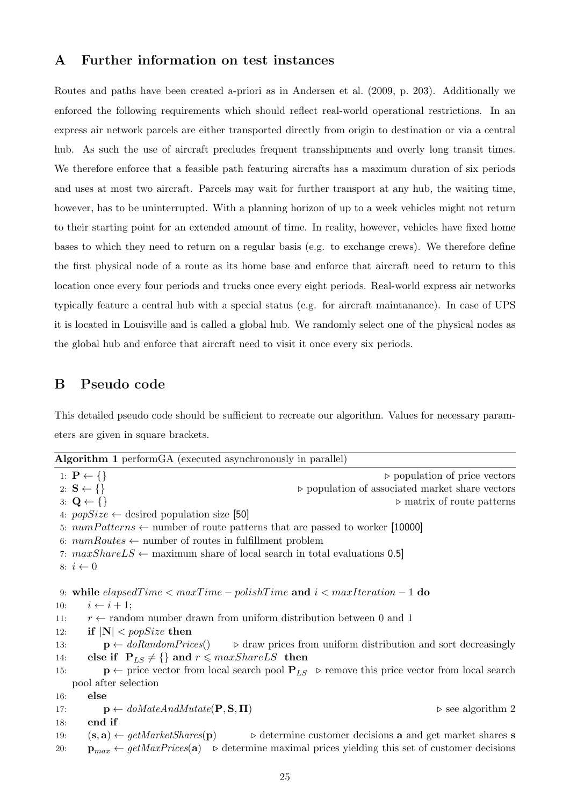## A Further information on test instances

Routes and paths have been created a-priori as in Andersen et al. (2009, p. 203). Additionally we enforced the following requirements which should reflect real-world operational restrictions. In an express air network parcels are either transported directly from origin to destination or via a central hub. As such the use of aircraft precludes frequent transshipments and overly long transit times. We therefore enforce that a feasible path featuring aircrafts has a maximum duration of six periods and uses at most two aircraft. Parcels may wait for further transport at any hub, the waiting time, however, has to be uninterrupted. With a planning horizon of up to a week vehicles might not return to their starting point for an extended amount of time. In reality, however, vehicles have fixed home bases to which they need to return on a regular basis (e.g. to exchange crews). We therefore define the first physical node of a route as its home base and enforce that aircraft need to return to this location once every four periods and trucks once every eight periods. Real-world express air networks typically feature a central hub with a special status (e.g. for aircraft maintanance). In case of UPS it is located in Louisville and is called a global hub. We randomly select one of the physical nodes as the global hub and enforce that aircraft need to visit it once every six periods.

## B Pseudo code

This detailed pseudo code should be sufficient to recreate our algorithm. Values for necessary parameters are given in square brackets.

|     | <b>Algorithm 1</b> perform GA (executed asynchronously in parallel)                                                                                               |
|-----|-------------------------------------------------------------------------------------------------------------------------------------------------------------------|
|     | 1: $P \leftarrow \{\}$<br>$\rhd$ population of price vectors                                                                                                      |
|     | 2: $S \leftarrow \{\}$<br>$\triangleright$ population of associated market share vectors                                                                          |
|     | 3: $\mathbf{Q} \leftarrow \{\}$<br>$\triangleright$ matrix of route patterns                                                                                      |
|     | 4: $popSize \leftarrow$ desired population size [50]                                                                                                              |
|     | 5: $numPatterns \leftarrow$ number of route patterns that are passed to worker [10000]                                                                            |
|     | 6: $numRootes \leftarrow$ number of routes in fulfillment problem                                                                                                 |
|     | 7: $maxShareLS \leftarrow$ maximum share of local search in total evaluations 0.5]                                                                                |
|     | 8: $i \leftarrow 0$                                                                                                                                               |
|     | 9: while $elapse dTime < maxTime - polishTime$ and $i < maxIteration - 1$ do                                                                                      |
| 10: | $i \leftarrow i + 1;$                                                                                                                                             |
| 11: | $r \leftarrow$ random number drawn from uniform distribution between 0 and 1                                                                                      |
| 12: | if $ N $ < popSize then                                                                                                                                           |
| 13: | $\mathbf{p} \leftarrow \text{doRandom Prices}()$ $\Rightarrow$ draw prices from uniform distribution and sort decreasingly                                        |
| 14: | else if $P_{LS} \neq \{\}$ and $r \leq maxShareLS$ then                                                                                                           |
| 15: | $\mathbf{p} \leftarrow$ price vector from local search pool $\mathbf{P}_{LS}$ $\triangleright$ remove this price vector from local search                         |
|     | pool after selection                                                                                                                                              |
| 16: | else                                                                                                                                                              |
| 17: | $\mathbf{p} \leftarrow \text{doMatch} \text{ndM} \text{utate}(\mathbf{P}, \mathbf{S}, \mathbf{\Pi})$<br>$\triangleright$ see algorithm 2                          |
| 18: | end if                                                                                                                                                            |
| 19: | $(\mathbf{s}, \mathbf{a}) \leftarrow \text{getMarketShares}(\mathbf{p})$<br>$\triangleright$ determine customer decisions <b>a</b> and get market shares <b>s</b> |
| 20: | $\mathbf{p}_{max} \leftarrow \text{getMaxPrices}(\mathbf{a}) \quad \triangleright$ determine maximal prices yielding this set of customer decisions               |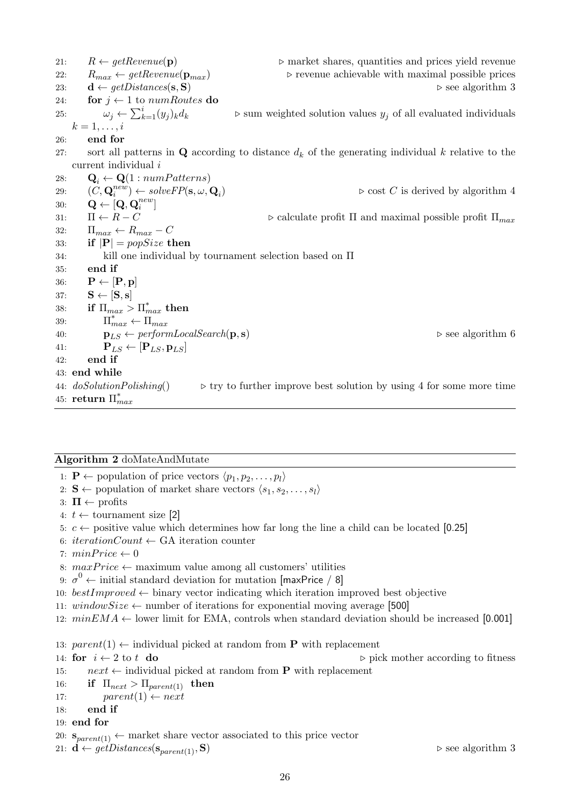21:  $R \leftarrow \text{getRevenue}(\mathbf{p})$   $\triangleright$  market shares, quantities and prices yield revenue 22:  $R_{max} \leftarrow getReverse(\mathbf{p}_{max})$   $\triangleright$  revenue achievable with maximal possible prices 23:  $\mathbf{d} \leftarrow \text{getDistances}(\mathbf{s}, \mathbf{S})$   $\triangleright$  see algorithm 3 24: for  $j \leftarrow 1$  to numRoutes do 25:  $\omega_j \leftarrow \sum_{k=1}^i (y_j$  $\triangleright$  sum weighted solution values  $y_j$  of all evaluated individuals  $k=1,\ldots,i$ 26: end for 27: sort all patterns in **Q** according to distance  $d_k$  of the generating individual k relative to the current individual i 28:  $\mathbf{Q}_i \leftarrow \mathbf{Q}(1: numPatterns)$ 29:  $(C, \mathbf{Q}_i^{new}) \leftarrow solveFP(\mathbf{s}, \omega, \mathbf{Q}_i)$  $\triangleright$  cost C is derived by algorithm 4 30:  $\mathbf{Q} \leftarrow [\mathbf{Q}, \mathbf{Q}_i^{new}]$ 31:  $\Pi \leftarrow R - C$   $\triangleright$  calculate profit  $\Pi$  and maximal possible profit  $\Pi_{max}$ 32:  $\Pi_{max} \leftarrow R_{max} - C$ 33: if  $|\mathbf{P}| = popSize$  then 34: kill one individual by tournament selection based on Π 35: end if 36:  $P \leftarrow [\mathbf{P}, \mathbf{p}]$ 37:  $S \leftarrow [S, s]$ 38: if  $\Pi_{max} > \Pi_{max}^*$  then 39:  $\Pi_{max}^* \leftarrow \Pi_{max}$ 40:  $\mathbf{p}_{LS} \leftarrow \text{performLocalSearch}(\mathbf{p}, \mathbf{s})$   $\triangleright$  see algorithm 6 41:  $\mathbf{P}_{LS} \leftarrow [\mathbf{P}_{LS}, \mathbf{p}_{LS}]$ 42: end if 43: end while 44:  $d\sigma\text{SolutionPolishing}$   $\rightarrow$  try to further improve best solution by using 4 for some more time 45: return  $\Pi_{max}^*$ 

#### Algorithm 2 doMateAndMutate

- 1:  $\mathbf{P} \leftarrow$  population of price vectors  $\langle p_1, p_2, \ldots, p_l \rangle$
- 2: **S**  $\leftarrow$  population of market share vectors  $\langle s_1, s_2, \ldots, s_l \rangle$
- 3:  $\Pi \leftarrow$  profits
- 4:  $t \leftarrow$  tournament size [2]
- 5:  $c \leftarrow$  positive value which determines how far long the line a child can be located [0.25]
- 6: iterationCount  $\leftarrow$  GA iteration counter
- 7:  $minPrice \leftarrow 0$
- 8:  $maxPrice \leftarrow$  maximum value among all customers' utilities
- 9:  $\sigma^0$   $\leftarrow$  initial standard deviation for mutation [maxPrice / 8]
- 10:  $bestImproved \leftarrow binary vector indicating which iteration improved best objective$
- 11:  $windowSize \leftarrow$  number of iterations for exponential moving average [500]
- 12:  $minEMA \leftarrow$  lower limit for EMA, controls when standard deviation should be increased [0.001]

13:  $parent(1) \leftarrow$  individual picked at random from **P** with replacement

14: for  $i \leftarrow 2$  to t do . pick mother according to fitness 15: *next* ← individual picked at random from **P** with replacement

- 16: if  $\Pi_{next} > \Pi_{parent(1)}$  then
- 17:  $parent(1) \leftarrow next$
- 18: end if
- 19: end for
- 20:  $\mathbf{s}_{parent(1)} \leftarrow$  market share vector associated to this price vector
- 21:  $\mathbf{d} \leftarrow getDistances(\mathbf{s}_{parent(1)}, \mathbf{S})$  > see algorithm 3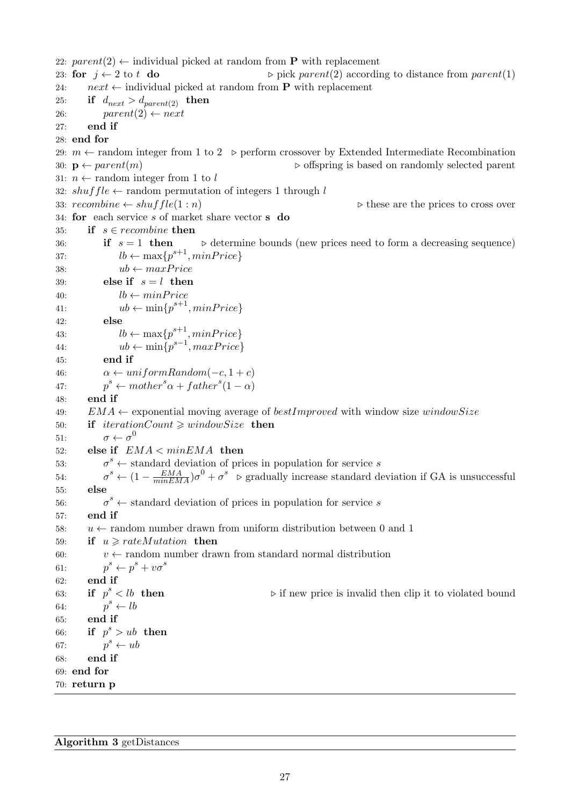22:  $parent(2) \leftarrow$  individual picked at random from **P** with replacement 23: for  $j \leftarrow 2$  to t do . pick parent(2) according to distance from parent(1) 24:  $next \leftarrow$  individual picked at random from **P** with replacement 25: if  $d_{next} > d_{parent(2)}$  then 26:  $parent(2) \leftarrow next$ 27: end if 28: end for 29:  $m \leftarrow$  random integer from 1 to 2  $\triangleright$  perform crossover by Extended Intermediate Recombination 30:  $p \leftarrow parent(m)$   $\triangleright$  offspring is based on randomly selected parent 31:  $n \leftarrow$  random integer from 1 to l 32:  $shuffle \leftarrow$  random permutation of integers 1 through l 33:  $recombine \leftarrow shuffle(1:n)$  .  $\triangleright$  these are the prices to cross over 34: for each service  $s$  of market share vector  $s$  do 35: if  $s \in recombine$  then 36: if  $s = 1$  then  $\triangleright$  determine bounds (new prices need to form a decreasing sequence) 37:  $lb \leftarrow \max\{p^{s+1}, \minPrice\}$ 38:  $ub \leftarrow maxPrice$ 39: else if  $s = l$  then 40:  $lb \leftarrow minPrice$ 41:  $ub \leftarrow \min\{p^{s+1}, \minPrice\}$ 42: else 43:  $lb \leftarrow \max\{p^{s+1}, \minPrice\}$ 44:  $ub \leftarrow \min\{p^{s-1}, maxPrice\}$ 45: end if 46:  $\alpha \leftarrow uniformRandom(-c, 1+c)$  $47:$  $s \leftarrow mother^s\alpha + father^s(1-\alpha)$ 48: end if 49:  $EMA \leftarrow$  exponential moving average of bestImproved with window size windowSize 50: if  $iterationCount \geq windowSize$  then 51:  $\sigma \leftarrow \sigma^0$ 52: else if  $EMA < minEMA$  then 53: σ  $\sigma^s$  ← standard deviation of prices in population for service s 54: σ <sup>s</sup> ←  $(1 - \frac{EMA}{minEMA})\sigma^0 + \sigma^s$  ⊳ gradually increase standard deviation if GA is unsuccessful 55: else 56:  $\sigma^s \leftarrow$  standard deviation of prices in population for service s 57: end if 58:  $u \leftarrow$  random number drawn from uniform distribution between 0 and 1 59: if  $u \geqslant rateMutation$  then 60:  $v \leftarrow$  random number drawn from standard normal distribution  $61.$  $s^s \leftarrow p^s + v\sigma^s$ 62: end if 63: if  $p^s < lb$  then  $\triangleright$  if new price is invalid then clip it to violated bound 64:  $p^s \leftarrow lb$ 65: end if 66: if  $p^s > ub$  then 67:  $p^s \leftarrow ub$ 68: end if 69: end for 70: return p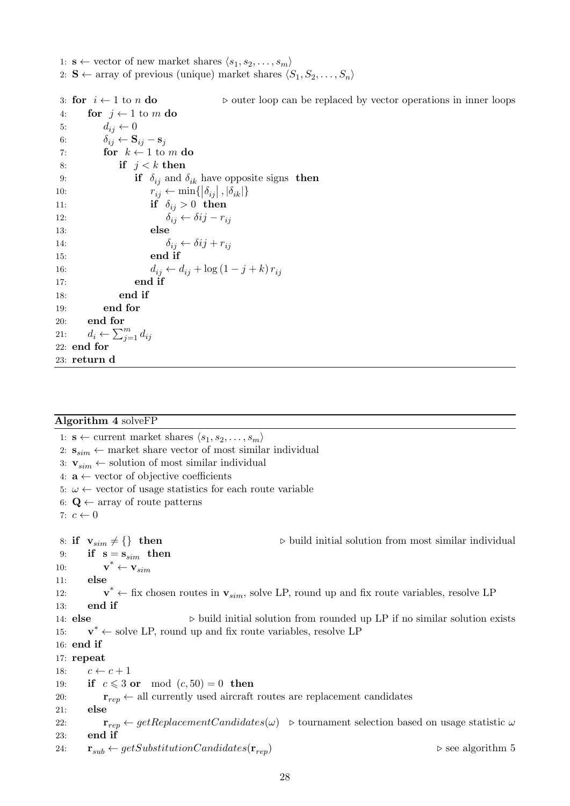1:  $\mathbf{s} \leftarrow$  vector of new market shares  $\langle s_1, s_2, \dots, s_m \rangle$ 2: **S**  $\leftarrow$  array of previous (unique) market shares  $\langle S_1, S_2, \ldots, S_n \rangle$ 

3: for  $i \leftarrow 1$  to n do .  $\triangleright$  outer loop can be replaced by vector operations in inner loops 4: for  $j \leftarrow 1$  to m do 5:  $d_{ij} \leftarrow 0$ 6:  $\delta_{ij} \leftarrow \mathbf{S}_{ij} - \mathbf{s}_j$ 7: for  $k \leftarrow 1$  to m do 8: if  $j < k$  then 9: **if**  $\delta_{ij}$  and  $\delta_{ik}$  have opposite signs **then** 10:  $r_{ij} \leftarrow \min\{|\delta_{ij}|, |\delta_{ik}|\}$ 11: if  $\delta_{ij} > 0$  then 12:  $\delta_{ij} \leftarrow \delta ij - r_{ij}$ 13: else 14:  $\delta_{ij} \leftarrow \delta ij + r_{ij}$ 15: end if 16:  $d_{ij} \leftarrow d_{ij} + \log (1 - j + k) r_{ij}$ 17: end if 18: end if 19: end for 20: end for 21:  $d_i \leftarrow \sum_{j=1}^m d_{ij}$ 22: end for 23: return d

#### Algorithm 4 solveFP

1:  $\mathbf{s} \leftarrow$  current market shares  $\langle s_1, s_2, \ldots, s_m \rangle$ 2:  $\mathbf{s}_{sim} \leftarrow$  market share vector of most similar individual 3:  $\mathbf{v}_{sim} \leftarrow$  solution of most similar individual 4:  $\mathbf{a} \leftarrow$  vector of objective coefficients 5:  $\omega \leftarrow$  vector of usage statistics for each route variable 6:  $\mathbf{Q} \leftarrow \text{array of route patterns}$ 7:  $c \leftarrow 0$ 8: if  $\mathbf{v}_{sim} \neq \{\}\$  then  $\triangleright$  build initial solution from most similar individual 9: if  $s = s_{sim}$  then  $10:$  $\mathbf{v}^* \leftarrow \mathbf{v}_{sim}$ 11: else  $12:$  $\mathbf{v}^* \leftarrow$  fix chosen routes in  $\mathbf{v}_{sim}$ , solve LP, round up and fix route variables, resolve LP 13: end if 14: **else**  $\triangleright$  build initial solution from rounded up LP if no similar solution exists 15:  $v^* \leftarrow$  solve LP, round up and fix route variables, resolve LP 16: end if 17: repeat 18:  $c \leftarrow c + 1$ 19: if  $c \leqslant 3$  or mod  $(c, 50) = 0$  then 20:  $\mathbf{r}_{ren} \leftarrow$  all currently used aircraft routes are replacement candidates 21: else 22:  $\mathbf{r}_{rep} \leftarrow getReplacementC and dates(\omega) \geq 0$  tournament selection based on usage statistic  $\omega$ 23: end if 24:  $\mathbf{r}_{sub} \leftarrow getSubstitutionC and dates(\mathbf{r}_{ren})$   $\triangleright$  see algorithm 5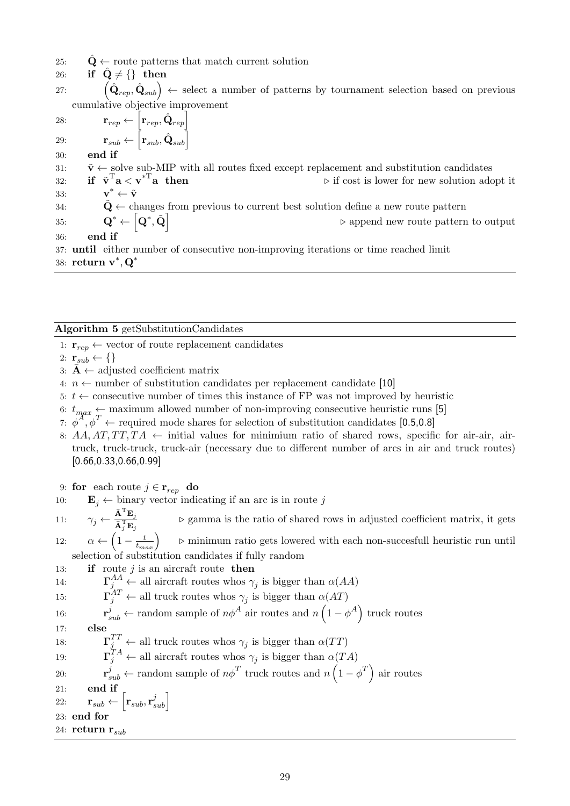- 25:  $\mathbf{Q} \leftarrow$  route patterns that match current solution
- 26: if  $\hat{\mathbf{Q}} \neq \{\}$  then

27:  $(\hat{\mathbf{Q}}_{rep}, \hat{\mathbf{Q}}_{sub})$   $\leftarrow$  select a number of patterns by tournament selection based on previous cumulative objective improvement

28:  $\mathbf{r}_{rep} \leftarrow \begin{bmatrix} \mathbf{r}_{rep}, \hat{\mathbf{Q}}_{rep} \end{bmatrix}$ 29:  $\mathbf{r}_{sub} \leftarrow \begin{bmatrix} \mathbf{r}_{sub}, \hat{\mathbf{Q}}_{sub} \end{bmatrix}$ 30: end if 31:  $\tilde{\mathbf{v}} \leftarrow$  solve sub-MIP with all routes fixed except replacement and substitution candidates 32: if  $\tilde{\mathbf{v}}^{\mathrm{T}}\mathbf{a} < \mathbf{v}^{*\mathrm{T}}$  $\triangleright$  if cost is lower for new solution adopt it  $33:$  $\mathbf{v}^* \leftarrow \tilde{\mathbf{v}}$ 34:  $\tilde{\mathbf{Q}} \leftarrow$  changes from previous to current best solution define a new route pattern  $\mathbf{Q}^* \leftarrow \left[ \mathbf{Q}^*, \tilde{\mathbf{Q}} \right]$  $\triangleright$  append new route pattern to output 36: end if 37: until either number of consecutive non-improving iterations or time reached limit 38: return  $v^*, Q^*$ 

Algorithm 5 getSubstitutionCandidates

- 1:  $\mathbf{r}_{rep} \leftarrow$  vector of route replacement candidates
- 2:  $\mathbf{r}_{sub} \leftarrow \{\}$
- 3:  $\bar{\mathbf{A}} \leftarrow$  adjusted coefficient matrix
- 4:  $n \leftarrow$  number of substitution candidates per replacement candidate [10]
- 5:  $t \leftarrow$  consecutive number of times this instance of FP was not improved by heuristic
- 6:  $t_{max} \leftarrow$  maximum allowed number of non-improving consecutive heuristic runs [5]
- 7:  $\phi^A$ ,  $\phi^T$   $\leftarrow$  required mode shares for selection of substitution candidates [0.5,0.8]
- 8:  $AA, AT, TT, TA \leftarrow$  initial values for minimium ratio of shared rows, specific for air-air, airtruck, truck-truck, truck-air (necessary due to different number of arcs in air and truck routes) [0.66,0.33,0.66,0.99]
- 9: for each route  $j \in \mathbf{r}_{rep}$  do
- 10:  $\mathbf{E}_i \leftarrow$  binary vector indicating if an arc is in route j
- 11:  $\gamma_j \leftarrow \frac{\bar{\mathbf{A}}^{\mathrm{T}} \mathbf{E}_j}{\bar{\mathbf{A}}^{\mathrm{T}} \mathbf{F}}$  $\overline{\mathbf{A}}_j^{\textrm{T}} \mathbf{E}_j$  $\triangleright$ gamma is the ratio of shared rows in adjusted coefficient matrix, it gets
- 12:  $\alpha \leftarrow \left(1 \frac{t}{t_{max}}\right)$  $\triangleright$  minimum ratio gets lowered with each non-succesfull heuristic run until selection of substitution candidates if fully random
- 13: **if** route j is an aircraft route **then**
- 14:  $\Gamma_j^{AA} \leftarrow$  all aircraft routes whos  $\gamma_j$  is bigger than  $\alpha(AA)$

15:  $\overline{A}^{AT}_{j} \leftarrow$  all truck routes whos  $\gamma_{j}$  is bigger than  $\alpha(AT)$ 

 $16:$  $j_{sub} \leftarrow$  random sample of  $n\phi^A$  air routes and  $n\left(1 - \phi^A\right)$  truck routes

17: else

- 18:  $\qquad \qquad \Gamma_j^{TT} \leftarrow \text{all truck routes whos } \gamma_j \text{ is bigger than } \alpha(TT)$
- 19:  $\Gamma_j^{TA} \leftarrow$  all aircraft routes whos  $\gamma_j$  is bigger than  $\alpha(TA)$
- $20:$  $\psi_{sub}^{j} \leftarrow$  random sample of  $n\phi^{T}$  truck routes and  $n\left(1 - \phi^{T}\right)$  air routes
- 21: end if

22:  $\mathbf{r}_{sub} \leftarrow \begin{bmatrix} \mathbf{r}_{sub}, \mathbf{r}_{sub}^j \end{bmatrix}$ 

23: end for

24: return  $\mathbf{r}_{sub}$